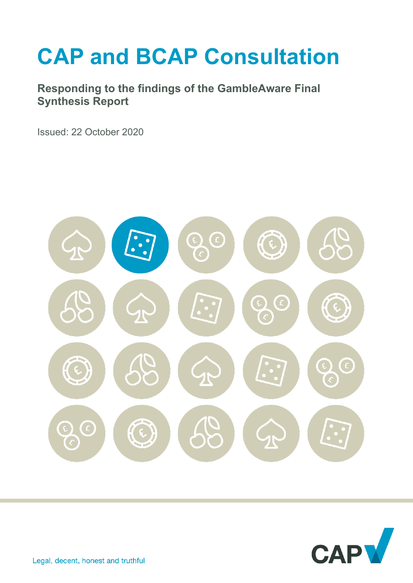# **CAP and BCAP Consultation**

**Responding to the findings of the GambleAware Final Synthesis Report** 

Issued: 22 October 2020



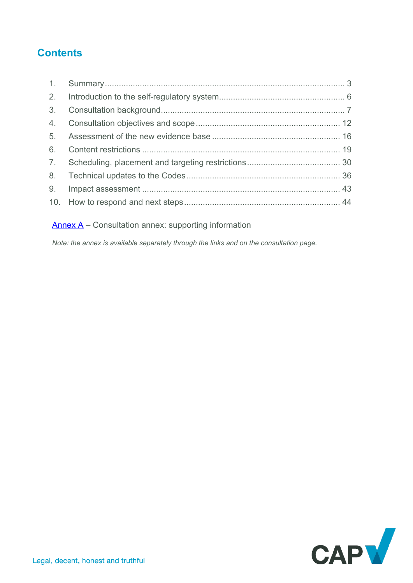# **Contents**

Annex  $A -$  Consultation annex: supporting information

*Note: the annex is available separately through the links and on the consultation page.* 

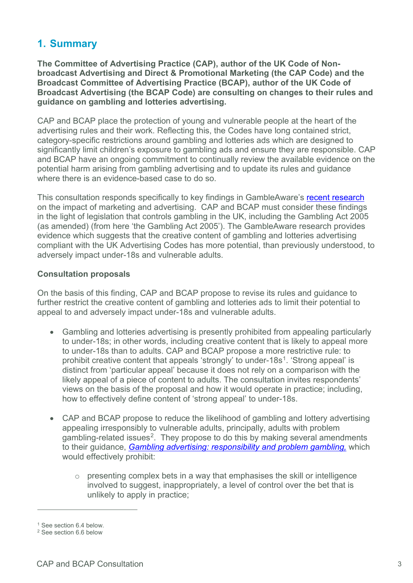# <span id="page-2-0"></span>**1. Summary**

**The Committee of Advertising Practice (CAP), author of the UK Code of Nonbroadcast Advertising and Direct & Promotional Marketing (the CAP Code) and the Broadcast Committee of Advertising Practice (BCAP), author of the UK Code of Broadcast Advertising (the BCAP Code) are consulting on changes to their rules and guidance on gambling and lotteries advertising.** 

CAP and BCAP place the protection of young and vulnerable people at the heart of the advertising rules and their work. Reflecting this, the Codes have long contained strict, category-specific restrictions around gambling and lotteries ads which are designed to significantly limit children's exposure to gambling ads and ensure they are responsible. CAP and BCAP have an ongoing commitment to continually review the available evidence on the potential harm arising from gambling advertising and to update its rules and guidance where there is an evidence-based case to do so.

This consultation responds specifically to key findings in GambleAware's [recent research](https://infohub.gambleaware.org/media/2160/the-effect-of-gambling-marketing-and-advertising-synthesis-report_final.pdf) on the impact of marketing and advertising. CAP and BCAP must consider these findings in the light of legislation that controls gambling in the UK, including the Gambling Act 2005 (as amended) (from here 'the Gambling Act 2005'). The GambleAware research provides evidence which suggests that the creative content of gambling and lotteries advertising compliant with the UK Advertising Codes has more potential, than previously understood, to adversely impact under-18s and vulnerable adults.

#### **Consultation proposals**

On the basis of this finding, CAP and BCAP propose to revise its rules and guidance to further restrict the creative content of gambling and lotteries ads to limit their potential to appeal to and adversely impact under-18s and vulnerable adults.

- Gambling and lotteries advertising is presently prohibited from appealing particularly to under-18s; in other words, including creative content that is likely to appeal more to under-18s than to adults. CAP and BCAP propose a more restrictive rule: to prohibit creative content that appeals 'strongly' to under-[1](#page-2-1)8s<sup>1</sup>. 'Strong appeal' is distinct from 'particular appeal' because it does not rely on a comparison with the likely appeal of a piece of content to adults. The consultation invites respondents' views on the basis of the proposal and how it would operate in practice; including, how to effectively define content of 'strong appeal' to under-18s.
- CAP and BCAP propose to reduce the likelihood of gambling and lottery advertising appealing irresponsibly to vulnerable adults, principally, adults with problem gambling-related issues<sup>2</sup>. They propose to do this by making several amendments to their guidance, *[Gambling advertising: responsibility and problem gambling,](https://www.asa.org.uk/uploads/assets/uploaded/9847cafa-b629-48ed-99c50a47c2cc98fc.pdf)* which would effectively prohibit:
	- $\circ$  presenting complex bets in a way that emphasises the skill or intelligence involved to suggest, inappropriately, a level of control over the bet that is unlikely to apply in practice;

<span id="page-2-1"></span><sup>&</sup>lt;sup>1</sup> See section 6.4 below.

<span id="page-2-2"></span><sup>2</sup> See section 6.6 below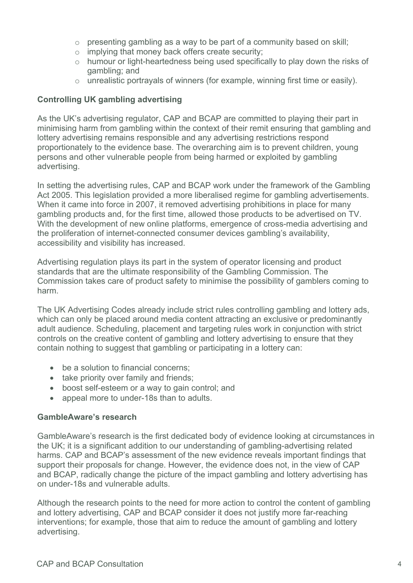- $\circ$  presenting gambling as a way to be part of a community based on skill:
- o implying that money back offers create security;
- o humour or light-heartedness being used specifically to play down the risks of gambling; and
- o unrealistic portrayals of winners (for example, winning first time or easily).

## **Controlling UK gambling advertising**

As the UK's advertising regulator, CAP and BCAP are committed to playing their part in minimising harm from gambling within the context of their remit ensuring that gambling and lottery advertising remains responsible and any advertising restrictions respond proportionately to the evidence base. The overarching aim is to prevent children, young persons and other vulnerable people from being harmed or exploited by gambling advertising.

In setting the advertising rules, CAP and BCAP work under the framework of the Gambling Act 2005. This legislation provided a more liberalised regime for gambling advertisements. When it came into force in 2007, it removed advertising prohibitions in place for many gambling products and, for the first time, allowed those products to be advertised on TV. With the development of new online platforms, emergence of cross-media advertising and the proliferation of internet-connected consumer devices gambling's availability, accessibility and visibility has increased.

Advertising regulation plays its part in the system of operator licensing and product standards that are the ultimate responsibility of the Gambling Commission. The Commission takes care of product safety to minimise the possibility of gamblers coming to harm.

The UK Advertising Codes already include strict rules controlling gambling and lottery ads, which can only be placed around media content attracting an exclusive or predominantly adult audience. Scheduling, placement and targeting rules work in conjunction with strict controls on the creative content of gambling and lottery advertising to ensure that they contain nothing to suggest that gambling or participating in a lottery can:

- be a solution to financial concerns:
- take priority over family and friends;
- boost self-esteem or a way to gain control; and
- appeal more to under-18s than to adults.

## **GambleAware's research**

GambleAware's research is the first dedicated body of evidence looking at circumstances in the UK; it is a significant addition to our understanding of gambling-advertising related harms. CAP and BCAP's assessment of the new evidence reveals important findings that support their proposals for change. However, the evidence does not, in the view of CAP and BCAP, radically change the picture of the impact gambling and lottery advertising has on under-18s and vulnerable adults.

Although the research points to the need for more action to control the content of gambling and lottery advertising, CAP and BCAP consider it does not justify more far-reaching interventions; for example, those that aim to reduce the amount of gambling and lottery advertising.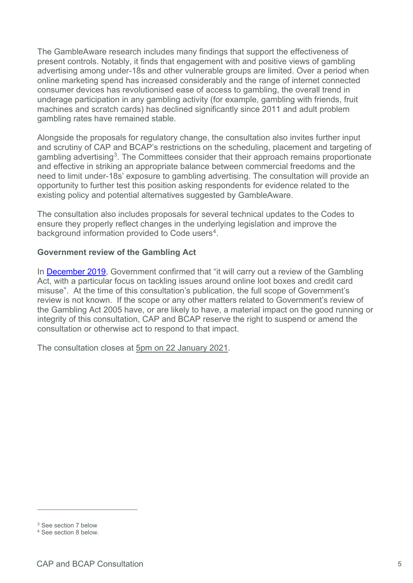The GambleAware research includes many findings that support the effectiveness of present controls. Notably, it finds that engagement with and positive views of gambling advertising among under-18s and other vulnerable groups are limited. Over a period when online marketing spend has increased considerably and the range of internet connected consumer devices has revolutionised ease of access to gambling, the overall trend in underage participation in any gambling activity (for example, gambling with friends, fruit machines and scratch cards) has declined significantly since 2011 and adult problem gambling rates have remained stable.

Alongside the proposals for regulatory change, the consultation also invites further input and scrutiny of CAP and BCAP's restrictions on the scheduling, placement and targeting of gambling advertising[3.](#page-4-0) The Committees consider that their approach remains proportionate and effective in striking an appropriate balance between commercial freedoms and the need to limit under-18s' exposure to gambling advertising. The consultation will provide an opportunity to further test this position asking respondents for evidence related to the existing policy and potential alternatives suggested by GambleAware.

The consultation also includes proposals for several technical updates to the Codes to ensure they properly reflect changes in the underlying legislation and improve the background information provided to Code users<sup>4</sup>.

#### **Government review of the Gambling Act**

In [December 2019,](https://assets.publishing.service.gov.uk/government/uploads/system/uploads/attachment_data/file/853886/Queen_s_Speech_December_2019_-_background_briefing_notes.pdf) Government confirmed that "it will carry out a review of the Gambling Act, with a particular focus on tackling issues around online loot boxes and credit card misuse". At the time of this consultation's publication, the full scope of Government's review is not known. If the scope or any other matters related to Government's review of the Gambling Act 2005 have, or are likely to have, a material impact on the good running or integrity of this consultation, CAP and BCAP reserve the right to suspend or amend the consultation or otherwise act to respond to that impact.

The consultation closes at 5pm on 22 January 2021.

<span id="page-4-0"></span><sup>3</sup> See section 7 below

<span id="page-4-1"></span><sup>4</sup> See section 8 below.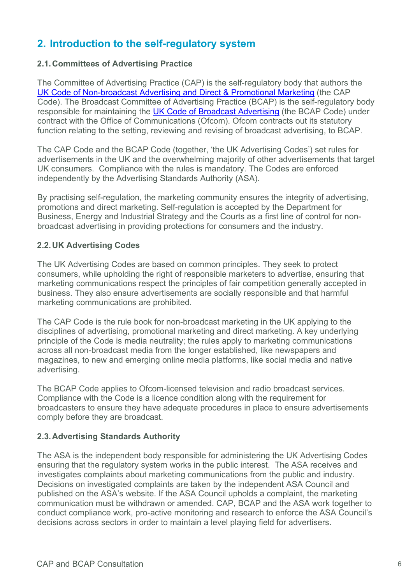# <span id="page-5-0"></span>**2. Introduction to the self-regulatory system**

## **2.1.Committees of Advertising Practice**

The Committee of Advertising Practice (CAP) is the self-regulatory body that authors the [UK Code of Non-broadcast Advertising and Direct & Promotional Marketing](https://www.asa.org.uk/codes-and-rulings/advertising-codes/non-broadcast-code.html) (the CAP Code). The Broadcast Committee of Advertising Practice (BCAP) is the self-regulatory body responsible for maintaining the [UK Code of Broadcast Advertising](https://www.asa.org.uk/codes-and-rulings/advertising-codes/broadcast-code.html) (the BCAP Code) under contract with the Office of Communications (Ofcom). Ofcom contracts out its statutory function relating to the setting, reviewing and revising of broadcast advertising, to BCAP.

The CAP Code and the BCAP Code (together, 'the UK Advertising Codes') set rules for advertisements in the UK and the overwhelming majority of other advertisements that target UK consumers. Compliance with the rules is mandatory. The Codes are enforced independently by the Advertising Standards Authority (ASA).

By practising self-regulation, the marketing community ensures the integrity of advertising, promotions and direct marketing. Self-regulation is accepted by the Department for Business, Energy and Industrial Strategy and the Courts as a first line of control for nonbroadcast advertising in providing protections for consumers and the industry.

## **2.2.UK Advertising Codes**

The UK Advertising Codes are based on common principles. They seek to protect consumers, while upholding the right of responsible marketers to advertise, ensuring that marketing communications respect the principles of fair competition generally accepted in business. They also ensure advertisements are socially responsible and that harmful marketing communications are prohibited.

The CAP Code is the rule book for non-broadcast marketing in the UK applying to the disciplines of advertising, promotional marketing and direct marketing. A key underlying principle of the Code is media neutrality; the rules apply to marketing communications across all non-broadcast media from the longer established, like newspapers and magazines, to new and emerging online media platforms, like social media and native advertising.

The BCAP Code applies to Ofcom-licensed television and radio broadcast services. Compliance with the Code is a licence condition along with the requirement for broadcasters to ensure they have adequate procedures in place to ensure advertisements comply before they are broadcast.

# **2.3.Advertising Standards Authority**

The ASA is the independent body responsible for administering the UK Advertising Codes ensuring that the regulatory system works in the public interest. The ASA receives and investigates complaints about marketing communications from the public and industry. Decisions on investigated complaints are taken by the independent ASA Council and published on the ASA's website. If the ASA Council upholds a complaint, the marketing communication must be withdrawn or amended. CAP, BCAP and the ASA work together to conduct compliance work, pro-active monitoring and research to enforce the ASA Council's decisions across sectors in order to maintain a level playing field for advertisers.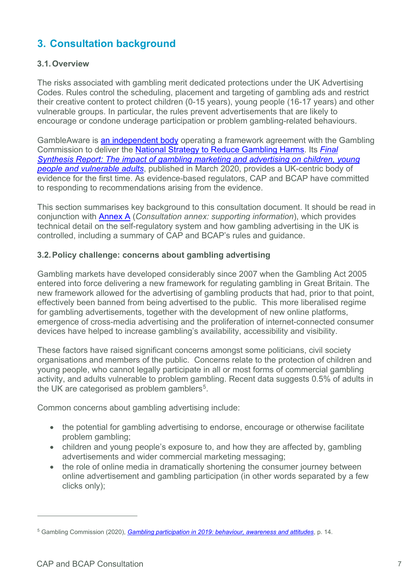# <span id="page-6-0"></span>**3. Consultation background**

## **3.1.Overview**

The risks associated with gambling merit dedicated protections under the UK Advertising Codes. Rules control the scheduling, placement and targeting of gambling ads and restrict their creative content to protect children (0-15 years), young people (16-17 years) and other vulnerable groups. In particular, the rules prevent advertisements that are likely to encourage or condone underage participation or problem gambling-related behaviours.

GambleAware is [an independent body](https://about.gambleaware.org/about/) operating a framework agreement with the Gambling Commission to deliver the [National Strategy to Reduce Gambling Harms.](https://www.gamblingcommission.gov.uk/news-action-and-statistics/Media-resources/Speech-web-pages/National-Strategy-to-Reduce-Gambling-Harms.aspx) Its *[Final](https://infohub.gambleaware.org/media/2160/the-effect-of-gambling-marketing-and-advertising-synthesis-report_final.pdf)  [Synthesis Report: The impact of gambling marketing and advertising on children, young](https://infohub.gambleaware.org/media/2160/the-effect-of-gambling-marketing-and-advertising-synthesis-report_final.pdf)  [people and vulnerable adults](https://infohub.gambleaware.org/media/2160/the-effect-of-gambling-marketing-and-advertising-synthesis-report_final.pdf)*, published in March 2020, provides a UK-centric body of evidence for the first time. As evidence-based regulators, CAP and BCAP have committed to responding to recommendations arising from the evidence.

This section summarises key background to this consultation document. It should be read in conjunction with [Annex A](http://www.asa.org.uk/resource/gambling-appeal-consultation-annex.html) (*Consultation annex: supporting information*), which provides technical detail on the self-regulatory system and how gambling advertising in the UK is controlled, including a summary of CAP and BCAP's rules and guidance.

#### **3.2.Policy challenge: concerns about gambling advertising**

Gambling markets have developed considerably since 2007 when the Gambling Act 2005 entered into force delivering a new framework for regulating gambling in Great Britain. The new framework allowed for the advertising of gambling products that had, prior to that point, effectively been banned from being advertised to the public. This more liberalised regime for gambling advertisements, together with the development of new online platforms, emergence of cross-media advertising and the proliferation of internet-connected consumer devices have helped to increase gambling's availability, accessibility and visibility.

These factors have raised significant concerns amongst some politicians, civil society organisations and members of the public. Concerns relate to the protection of children and young people, who cannot legally participate in all or most forms of commercial gambling activity, and adults vulnerable to problem gambling. Recent data suggests 0.5% of adults in the UK are categorised as problem gamblers<sup>[5](#page-6-1)</sup>.

Common concerns about gambling advertising include:

- the potential for gambling advertising to endorse, encourage or otherwise facilitate problem gambling;
- children and young people's exposure to, and how they are affected by, gambling advertisements and wider commercial marketing messaging;
- the role of online media in dramatically shortening the consumer journey between online advertisement and gambling participation (in other words separated by a few clicks only);

<span id="page-6-1"></span><sup>5</sup> Gambling Commission (2020), *[Gambling participation in 2019: behaviour, awareness and attitudes](https://www.gamblingcommission.gov.uk/PDF/survey-data/Gambling-participation-in-2019-behaviour-awareness-and-attitudes.pdf)*, p. 14.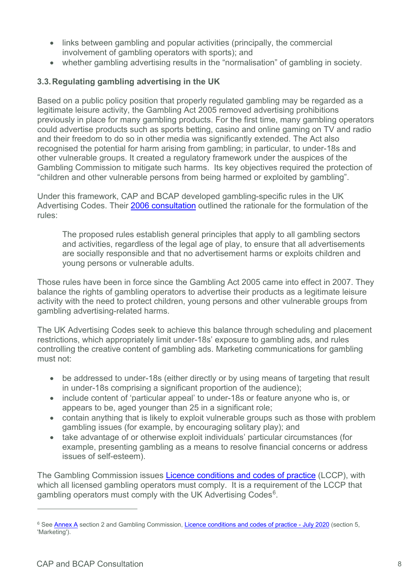- links between gambling and popular activities (principally, the commercial involvement of gambling operators with sports); and
- whether gambling advertising results in the "normalisation" of gambling in society.

# **3.3.Regulating gambling advertising in the UK**

Based on a public policy position that properly regulated gambling may be regarded as a legitimate leisure activity, the Gambling Act 2005 removed advertising prohibitions previously in place for many gambling products. For the first time, many gambling operators could advertise products such as sports betting, casino and online gaming on TV and radio and their freedom to do so in other media was significantly extended. The Act also recognised the potential for harm arising from gambling; in particular, to under-18s and other vulnerable groups. It created a regulatory framework under the auspices of the Gambling Commission to mitigate such harms. Its key objectives required the protection of "children and other vulnerable persons from being harmed or exploited by gambling".

Under this framework, CAP and BCAP developed gambling-specific rules in the UK Advertising Codes. Their [2006 consultation](https://www.asa.org.uk/resource/Gambling-rules-consultation.html) outlined the rationale for the formulation of the rules:

The proposed rules establish general principles that apply to all gambling sectors and activities, regardless of the legal age of play, to ensure that all advertisements are socially responsible and that no advertisement harms or exploits children and young persons or vulnerable adults.

Those rules have been in force since the Gambling Act 2005 came into effect in 2007. They balance the rights of gambling operators to advertise their products as a legitimate leisure activity with the need to protect children, young persons and other vulnerable groups from gambling advertising-related harms.

The UK Advertising Codes seek to achieve this balance through scheduling and placement restrictions, which appropriately limit under-18s' exposure to gambling ads, and rules controlling the creative content of gambling ads. Marketing communications for gambling must not:

- be addressed to under-18s (either directly or by using means of targeting that result in under-18s comprising a significant proportion of the audience);
- include content of 'particular appeal' to under-18s or feature anyone who is, or appears to be, aged younger than 25 in a significant role;
- contain anything that is likely to exploit vulnerable groups such as those with problem gambling issues (for example, by encouraging solitary play); and
- take advantage of or otherwise exploit individuals' particular circumstances (for example, presenting gambling as a means to resolve financial concerns or address issues of self-esteem).

The Gambling Commission issues [Licence conditions and codes of practice](https://www.gamblingcommission.gov.uk/for-gambling-businesses/Compliance/LCCP/Licence-conditions-and-codes-of-practice.aspx) (LCCP), with which all licensed gambling operators must comply. It is a requirement of the LCCP that gambling operators must comply with the UK Advertising Codes<sup>6</sup>.

<span id="page-7-0"></span><sup>&</sup>lt;sup>6</sup> See [Annex A](http://www.asa.org.uk/resource/gambling-appeal-consultation-annex.html) section 2 and Gambling Commission, [Licence conditions and codes of practice - July 2020](https://www.gamblingcommission.gov.uk/PDF/LCCP/Licence-conditions-and-codes-of-practice.pdf) (section 5, 'Marketing').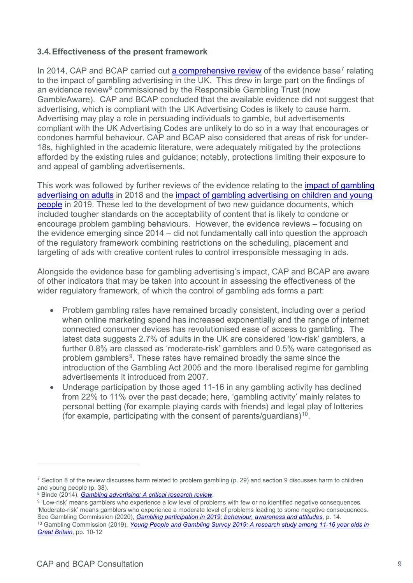## **3.4.Effectiveness of the present framework**

In 2014, CAP and BCAP carried out [a comprehensive review](https://www.asa.org.uk/asset/3CFADBC6-5BD9-4550-AC953501031A5477/) of the evidence base<sup>[7](#page-8-0)</sup> relating to the impact of gambling advertising in the UK. This drew in large part on the findings of an evidence review<sup>[8](#page-8-1)</sup> commissioned by the Responsible Gambling Trust (now GambleAware). CAP and BCAP concluded that the available evidence did not suggest that advertising, which is compliant with the UK Advertising Codes is likely to cause harm. Advertising may play a role in persuading individuals to gamble, but advertisements compliant with the UK Advertising Codes are unlikely to do so in a way that encourages or condones harmful behaviour. CAP and BCAP also considered that areas of risk for under-18s, highlighted in the academic literature, were adequately mitigated by the protections afforded by the existing rules and guidance; notably, protections limiting their exposure to and appeal of gambling advertisements.

This work was followed by further reviews of the evidence relating to the [impact of gambling](https://www.asa.org.uk/uploads/assets/uploaded/d26f0886-edba-4ef8-87bcb5c928363381.pdf)  [advertising on adults](https://www.asa.org.uk/uploads/assets/uploaded/d26f0886-edba-4ef8-87bcb5c928363381.pdf) in 2018 and the [impact of gambling advertising on children and young](https://www.asa.org.uk/uploads/assets/uploaded/43072c78-8a0e-4345-ab21b8cbb8af7432.pdf)  [people](https://www.asa.org.uk/uploads/assets/uploaded/43072c78-8a0e-4345-ab21b8cbb8af7432.pdf) in 2019. These led to the development of two new guidance documents, which included tougher standards on the acceptability of content that is likely to condone or encourage problem gambling behaviours. However, the evidence reviews – focusing on the evidence emerging since 2014 – did not fundamentally call into question the approach of the regulatory framework combining restrictions on the scheduling, placement and targeting of ads with creative content rules to control irresponsible messaging in ads.

Alongside the evidence base for gambling advertising's impact, CAP and BCAP are aware of other indicators that may be taken into account in assessing the effectiveness of the wider regulatory framework, of which the control of gambling ads forms a part:

- Problem gambling rates have remained broadly consistent, including over a period when online marketing spend has increased exponentially and the range of internet connected consumer devices has revolutionised ease of access to gambling. The latest data suggests 2.7% of adults in the UK are considered 'low-risk' gamblers, a further 0.8% are classed as 'moderate-risk' gamblers and 0.5% ware categorised as problem gamblers<sup>9</sup>. These rates have remained broadly the same since the introduction of the Gambling Act 2005 and the more liberalised regime for gambling advertisements it introduced from 2007.
- Underage participation by those aged 11-16 in any gambling activity has declined from 22% to 11% over the past decade; here, 'gambling activity' mainly relates to personal betting (for example playing cards with friends) and legal play of lotteries (for example, participating with the consent of parents/guardians)<sup>[10](#page-8-3)</sup>.

<span id="page-8-0"></span><sup>&</sup>lt;sup>7</sup> Section 8 of the review discusses harm related to problem gambling (p. 29) and section 9 discusses harm to children

and young people (p. 38).<br><sup>8</sup> Binde (2014), *Gambling advertising: A critical research review*.

<span id="page-8-3"></span><span id="page-8-2"></span><span id="page-8-1"></span><sup>&</sup>lt;sup>9</sup> 'Low-risk' means gamblers who experience a low level of problems with few or no identified negative consequences[.](https://about.gambleaware.org/media/1165/binde_rgt_report_gambling_advertising_2014_final_color_115p.pdf) 'Moderate-risk' means gamblers who experience a moderate level of problems leading to some negative consequences. See Gambling Commission (2020), *[Gambling participation in 2019: behaviour, awareness and attitudes](https://www.gamblingcommission.gov.uk/PDF/survey-data/Gambling-participation-in-2019-behaviour-awareness-and-attitudes.pdf)*, p. 14. <sup>10</sup> Gambling Commission (2019), *[Young People and Gambling Survey 2019: A research study among 11-16 year olds in](https://www.gamblingcommission.gov.uk/PDF/Young-People-Gambling-Report-2019.pdf)  [Great Britain](https://www.gamblingcommission.gov.uk/PDF/Young-People-Gambling-Report-2019.pdf)*, pp. 10-12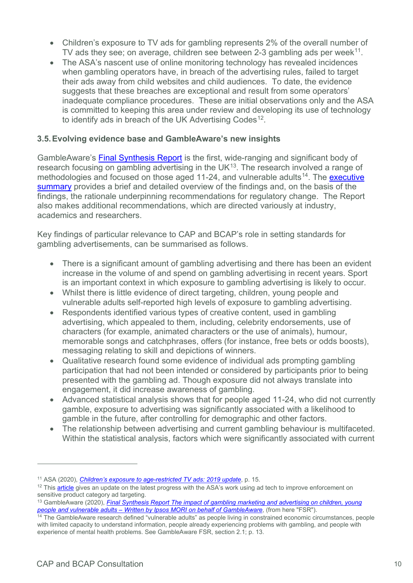- Children's exposure to TV ads for gambling represents 2% of the overall number of TV ads they see; on average, children see between 2-3 gambling ads per week $11$ .
- The ASA's nascent use of online monitoring technology has revealed incidences when gambling operators have, in breach of the advertising rules, failed to target their ads away from child websites and child audiences. To date, the evidence suggests that these breaches are exceptional and result from some operators' inadequate compliance procedures. These are initial observations only and the ASA is committed to keeping this area under review and developing its use of technology to identify ads in breach of the UK Advertising Codes<sup>[12](#page-9-1)</sup>.

#### **3.5.Evolving evidence base and GambleAware's new insights**

GambleAware's [Final Synthesis Report](https://infohub.gambleaware.org/media/2160/the-effect-of-gambling-marketing-and-advertising-synthesis-report_final.pdf) is the first, wide-ranging and significant body of research focusing on gambling advertising in the UK $13$ . The research involved a range of methodologies and focused on those aged 11-24, and vulnerable adults<sup>[14](#page-9-3)</sup>. The executive [summary](https://about.gambleaware.org/media/2157/the-effect-of-gambling-marketing-and-advertising-exec-sum_final.pdf) provides a brief and detailed overview of the findings and, on the basis of the findings, the rationale underpinning recommendations for regulatory change. The Report also makes additional recommendations, which are directed variously at industry, academics and researchers.

Key findings of particular relevance to CAP and BCAP's role in setting standards for gambling advertisements, can be summarised as follows.

- There is a significant amount of gambling advertising and there has been an evident increase in the volume of and spend on gambling advertising in recent years. Sport is an important context in which exposure to gambling advertising is likely to occur.
- Whilst there is little evidence of direct targeting, children, young people and vulnerable adults self-reported high levels of exposure to gambling advertising.
- Respondents identified various types of creative content, used in gambling advertising, which appealed to them, including, celebrity endorsements, use of characters (for example, animated characters or the use of animals), humour, memorable songs and catchphrases, offers (for instance, free bets or odds boosts), messaging relating to skill and depictions of winners.
- Qualitative research found some evidence of individual ads prompting gambling participation that had not been intended or considered by participants prior to being presented with the gambling ad. Though exposure did not always translate into engagement, it did increase awareness of gambling.
- Advanced statistical analysis shows that for people aged 11-24, who did not currently gamble, exposure to advertising was significantly associated with a likelihood to gamble in the future, after controlling for demographic and other factors.
- The relationship between advertising and current gambling behaviour is multifaceted. Within the statistical analysis, factors which were significantly associated with current

<span id="page-9-0"></span><sup>11</sup> ASA (2020), *[Children's exposure to age-restricted TV ads: 2019 update](https://www.asa.org.uk/uploads/assets/729cae41-cac1-4920-8e536bfb0b503253/ASA-TV-Ad-Exposure-Report-2019-Update.pdf)*, p. 15.

<span id="page-9-1"></span><sup>&</sup>lt;sup>12</sup> Thi[s article](https://www.asa.org.uk/news/gambling-ads-keeping-a-watching-brief.html) gives an update on the latest progress with the ASA's work using ad tech to improve enforcement on sensitive product category ad targeting.

<span id="page-9-2"></span><sup>13</sup> GambleAware (2020), *[Final Synthesis Report The impact of gambling](https://infohub.gambleaware.org/media/2160/the-effect-of-gambling-marketing-and-advertising-synthesis-report_final.pdf) marketing and advertising on children, young [people and vulnerable adults – Written by Ipsos MORI on behalf of GambleAware](https://infohub.gambleaware.org/media/2160/the-effect-of-gambling-marketing-and-advertising-synthesis-report_final.pdf)*, (from here "FSR").

<span id="page-9-3"></span><sup>&</sup>lt;sup>14</sup> The GambleAware research defined "vulnerable adults" as people living in constrained economic circumstances, people with limited capacity to understand information, people already experiencing problems with gambling, and people with experience of mental health problems. See GambleAware FSR, section 2.1; p. 13.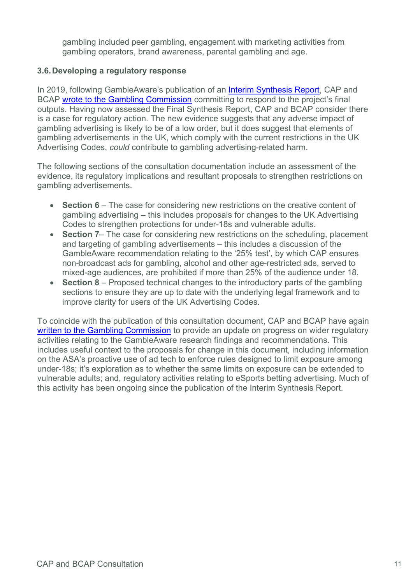gambling included peer gambling, engagement with marketing activities from gambling operators, brand awareness, parental gambling and age.

#### **3.6.Developing a regulatory response**

In 2019, following GambleAware's publication of an [Interim Synthesis Report,](https://about.gambleaware.org/media/1962/17-067097-01-gambleaware_interim-synthesis-report-exec-summary_080719_final.pdf) CAP and BCAP [wrote to the Gambling Commission](https://www.asa.org.uk/news/responding-to-gambleaware-s-interim-synthesis-report.html) committing to respond to the project's final outputs. Having now assessed the Final Synthesis Report, CAP and BCAP consider there is a case for regulatory action. The new evidence suggests that any adverse impact of gambling advertising is likely to be of a low order, but it does suggest that elements of gambling advertisements in the UK, which comply with the current restrictions in the UK Advertising Codes, *could* contribute to gambling advertising-related harm.

The following sections of the consultation documentation include an assessment of the evidence, its regulatory implications and resultant proposals to strengthen restrictions on gambling advertisements.

- **Section 6** The case for considering new restrictions on the creative content of gambling advertising – this includes proposals for changes to the UK Advertising Codes to strengthen protections for under-18s and vulnerable adults.
- **Section 7** The case for considering new restrictions on the scheduling, placement and targeting of gambling advertisements – this includes a discussion of the GambleAware recommendation relating to the '25% test', by which CAP ensures non-broadcast ads for gambling, alcohol and other age-restricted ads, served to mixed-age audiences, are prohibited if more than 25% of the audience under 18.
- **Section 8** Proposed technical changes to the introductory parts of the gambling sections to ensure they are up to date with the underlying legal framework and to improve clarity for users of the UK Advertising Codes.

To coincide with the publication of this consultation document, CAP and BCAP have again [written to the Gambling Commission](http://www.asa.org.uk/resource/gambling-appeal-consultation-letter.html) to provide an update on progress on wider regulatory activities relating to the GambleAware research findings and recommendations. This includes useful context to the proposals for change in this document, including information on the ASA's proactive use of ad tech to enforce rules designed to limit exposure among under-18s; it's exploration as to whether the same limits on exposure can be extended to vulnerable adults; and, regulatory activities relating to eSports betting advertising. Much of this activity has been ongoing since the publication of the Interim Synthesis Report.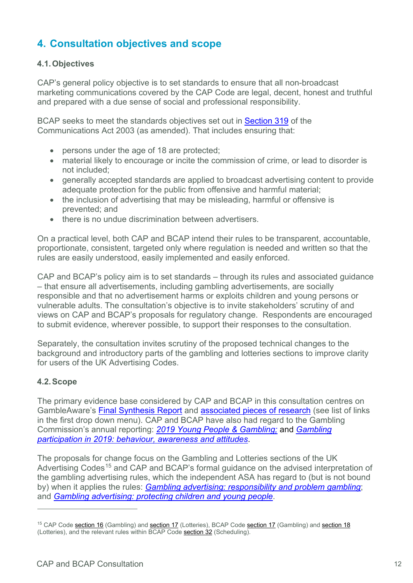# <span id="page-11-0"></span>**4. Consultation objectives and scope**

#### **4.1.Objectives**

CAP's general policy objective is to set standards to ensure that all non-broadcast marketing communications covered by the CAP Code are legal, decent, honest and truthful and prepared with a due sense of social and professional responsibility.

BCAP seeks to meet the standards objectives set out in [Section 319](http://www.legislation.gov.uk/ukpga/2003/21/part/3/chapter/4/crossheading/programme-and-fairness-standards-for-television-and-radio) of the Communications Act 2003 (as amended). That includes ensuring that:

- persons under the age of 18 are protected;
- material likely to encourage or incite the commission of crime, or lead to disorder is not included;
- generally accepted standards are applied to broadcast advertising content to provide adequate protection for the public from offensive and harmful material;
- the inclusion of advertising that may be misleading, harmful or offensive is prevented; and
- there is no undue discrimination between advertisers.

On a practical level, both CAP and BCAP intend their rules to be transparent, accountable, proportionate, consistent, targeted only where regulation is needed and written so that the rules are easily understood, easily implemented and easily enforced.

CAP and BCAP's policy aim is to set standards – through its rules and associated guidance – that ensure all advertisements, including gambling advertisements, are socially responsible and that no advertisement harms or exploits children and young persons or vulnerable adults. The consultation's objective is to invite stakeholders' scrutiny of and views on CAP and BCAP's proposals for regulatory change. Respondents are encouraged to submit evidence, wherever possible, to support their responses to the consultation.

Separately, the consultation invites scrutiny of the proposed technical changes to the background and introductory parts of the gambling and lotteries sections to improve clarity for users of the UK Advertising Codes.

## **4.2.Scope**

 $\overline{a}$ 

The primary evidence base considered by CAP and BCAP in this consultation centres on GambleAware's [Final Synthesis Report](https://infohub.gambleaware.org/media/2160/the-effect-of-gambling-marketing-and-advertising-synthesis-report_final.pdf) and [associated pieces of research](https://about.gambleaware.org/research/research-publications/children-and-young-people/) (see list of links in the first drop down menu). CAP and BCAP have also had regard to the Gambling Commission's annual reporting: *[2019 Young People & Gambling;](https://www.gamblingcommission.gov.uk/news-action-and-statistics/news/gambling-commission-publishes-the-2019-young-people-and-gambling-report)* and *[Gambling](https://www.gamblingcommission.gov.uk/PDF/survey-data/Gambling-participation-in-2019-behaviour-awareness-and-attitudes.pdf)  [participation in 2019: behaviour, awareness and attitudes](https://www.gamblingcommission.gov.uk/PDF/survey-data/Gambling-participation-in-2019-behaviour-awareness-and-attitudes.pdf)*.

The proposals for change focus on the Gambling and Lotteries sections of the UK Advertising Codes<sup>[15](#page-11-1)</sup> and CAP and BCAP's formal guidance on the advised interpretation of the gambling advertising rules, which the independent ASA has regard to (but is not bound by) when it applies the rules: *[Gambling advertising: responsibility and problem gambling](https://www.asa.org.uk/uploads/assets/uploaded/9847cafa-b629-48ed-99c50a47c2cc98fc.pdf)*; and *[Gambling advertising: protecting children and young people](https://www.asa.org.uk/uploads/assets/uploaded/734c1499-850d-4d2f-88a441ffd1903b50.pdf)*.

<span id="page-11-1"></span><sup>&</sup>lt;sup>15</sup> CAP Code [section 16](https://www.asa.org.uk/type/non_broadcast/code_section/16.html) (Gambling) and [section 17](https://www.asa.org.uk/type/broadcast/code_section/17.html) (Lotteries), BCAP Code section 17 (Gambling) and [section 18](https://www.asa.org.uk/type/broadcast/code_section/18.html) (Lotteries), and the relevant rules within BCAP Code [section 32](https://www.asa.org.uk/type/broadcast/code_section/32.html) (Scheduling).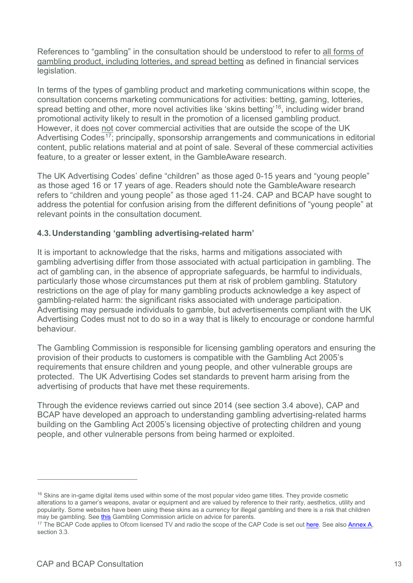References to "gambling" in the consultation should be understood to refer to all forms of gambling product, including lotteries, and spread betting as defined in financial services legislation.

In terms of the types of gambling product and marketing communications within scope, the consultation concerns marketing communications for activities: betting, gaming, lotteries, spread betting and other, more novel activities like 'skins betting'<sup>[16](#page-12-0)</sup>, including wider brand promotional activity likely to result in the promotion of a licensed gambling product. However, it does not cover commercial activities that are outside the scope of the UK Advertising Codes<sup>17</sup>; principally, sponsorship arrangements and communications in editorial content, public relations material and at point of sale. Several of these commercial activities feature, to a greater or lesser extent, in the GambleAware research.

The UK Advertising Codes' define "children" as those aged 0-15 years and "young people" as those aged 16 or 17 years of age. Readers should note the GambleAware research refers to "children and young people" as those aged 11-24. CAP and BCAP have sought to address the potential for confusion arising from the different definitions of "young people" at relevant points in the consultation document.

## **4.3.Understanding 'gambling advertising-related harm'**

It is important to acknowledge that the risks, harms and mitigations associated with gambling advertising differ from those associated with actual participation in gambling. The act of gambling can, in the absence of appropriate safeguards, be harmful to individuals, particularly those whose circumstances put them at risk of problem gambling. Statutory restrictions on the age of play for many gambling products acknowledge a key aspect of gambling-related harm: the significant risks associated with underage participation. Advertising may persuade individuals to gamble, but advertisements compliant with the UK Advertising Codes must not to do so in a way that is likely to encourage or condone harmful behaviour.

The Gambling Commission is responsible for licensing gambling operators and ensuring the provision of their products to customers is compatible with the Gambling Act 2005's requirements that ensure children and young people, and other vulnerable groups are protected. The UK Advertising Codes set standards to prevent harm arising from the advertising of products that have met these requirements.

Through the evidence reviews carried out since 2014 (see section 3.4 above), CAP and BCAP have developed an approach to understanding gambling advertising-related harms building on the Gambling Act 2005's licensing objective of protecting children and young people, and other vulnerable persons from being harmed or exploited.

<span id="page-12-0"></span><sup>&</sup>lt;sup>16</sup> Skins are in-game digital items used within some of the most popular video game titles. They provide cosmetic alterations to a gamer's weapons, avatar or equipment and are valued by reference to their rarity, aesthetics, utility and popularity. Some websites have been using these skins as a currency for illegal gambling and there is a risk that children may be gambling. See this Gambling Commission article on advice for parents.<br><sup>17</sup> The BCAP Code applies to Ofcom licensed TV and radio the scope of the CAP Code is set ou[t here.](https://www.asa.org.uk/type/non_broadcast/code_folder/scope-of-the-code.html) See also Annex A,

<span id="page-12-1"></span>section 3.3.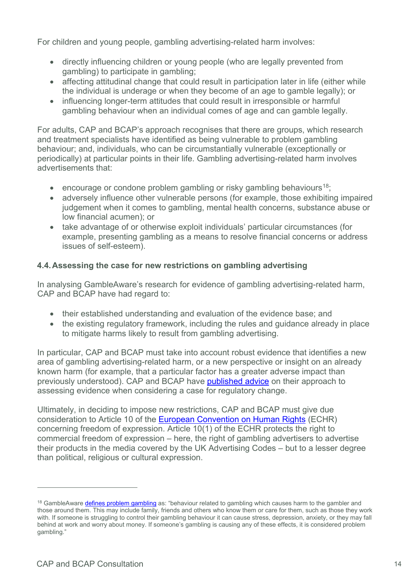For children and young people, gambling advertising-related harm involves:

- directly influencing children or young people (who are legally prevented from gambling) to participate in gambling;
- affecting attitudinal change that could result in participation later in life (either while the individual is underage or when they become of an age to gamble legally); or
- influencing longer-term attitudes that could result in irresponsible or harmful gambling behaviour when an individual comes of age and can gamble legally.

For adults, CAP and BCAP's approach recognises that there are groups, which research and treatment specialists have identified as being vulnerable to problem gambling behaviour; and, individuals, who can be circumstantially vulnerable (exceptionally or periodically) at particular points in their life. Gambling advertising-related harm involves advertisements that:

- encourage or condone problem gambling or risky gambling behaviours<sup>[18](#page-13-0)</sup>;
- adversely influence other vulnerable persons (for example, those exhibiting impaired judgement when it comes to gambling, mental health concerns, substance abuse or low financial acumen); or
- take advantage of or otherwise exploit individuals' particular circumstances (for example, presenting gambling as a means to resolve financial concerns or address issues of self-esteem).

# **4.4.Assessing the case for new restrictions on gambling advertising**

In analysing GambleAware's research for evidence of gambling advertising-related harm, CAP and BCAP have had regard to:

- their established understanding and evaluation of the evidence base; and
- the existing regulatory framework, including the rules and guidance already in place to mitigate harms likely to result from gambling advertising.

In particular, CAP and BCAP must take into account robust evidence that identifies a new area of gambling advertising-related harm, or a new perspective or insight on an already known harm (for example, that a particular factor has a greater adverse impact than previously understood). CAP and BCAP have [published advice](https://www.asa.org.uk/uploads/assets/uploaded/cb20c00f-b559-40a2-8b5677188511b45b.pdf) on their approach to assessing evidence when considering a case for regulatory change.

Ultimately, in deciding to impose new restrictions, CAP and BCAP must give due consideration to Article 10 of the [European Convention on Human Rights](https://www.echr.coe.int/Documents/Convention_ENG.pdf) (ECHR) concerning freedom of expression. Article 10(1) of the ECHR protects the right to commercial freedom of expression – here, the right of gambling advertisers to advertise their products in the media covered by the UK Advertising Codes – but to a lesser degree than political, religious or cultural expression.

<span id="page-13-0"></span><sup>&</sup>lt;sup>18</sup> GambleAwar[e defines problem gambling](https://www.begambleaware.org/gambling-problems) as: "behaviour related to gambling which causes harm to the gambler and those around them. This may include family, friends and others who know them or care for them, such as those they work with. If someone is struggling to control their gambling behaviour it can cause stress, depression, anxiety, or they may fall behind at work and worry about money. If someone's gambling is causing any of these effects, it is considered problem gambling."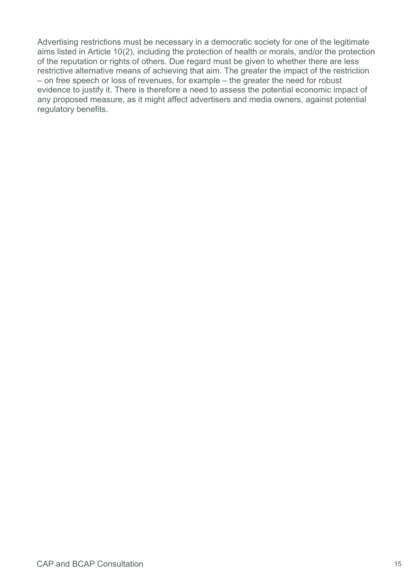Advertising restrictions must be necessary in a democratic society for one of the legitimate aims listed in Article 10(2), including the protection of health or morals, and/or the protection of the reputation or rights of others. Due regard must be given to whether there are less restrictive alternative means of achieving that aim. The greater the impact of the restriction – on free speech or loss of revenues, for example – the greater the need for robust evidence to justify it. There is therefore a need to assess the potential economic impact of any proposed measure, as it might affect advertisers and media owners, against potential regulatory benefits.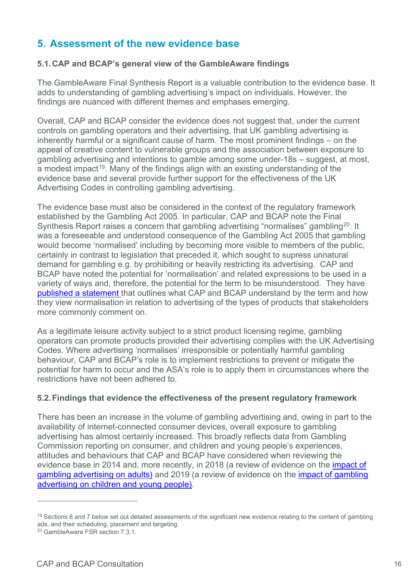# <span id="page-15-0"></span>**5. Assessment of the new evidence base**

## **5.1.CAP and BCAP's general view of the GambleAware findings**

The GambleAware Final Synthesis Report is a valuable contribution to the evidence base. It adds to understanding of gambling advertising's impact on individuals. However, the findings are nuanced with different themes and emphases emerging.

Overall, CAP and BCAP consider the evidence does not suggest that, under the current controls on gambling operators and their advertising, that UK gambling advertising is inherently harmful or a significant cause of harm. The most prominent findings – on the appeal of creative content to vulnerable groups and the association between exposure to gambling advertising and intentions to gamble among some under-18s – suggest, at most, a modest impact<sup>[19](#page-15-1)</sup>. Many of the findings align with an existing understanding of the evidence base and several provide further support for the effectiveness of the UK Advertising Codes in controlling gambling advertising.

The evidence base must also be considered in the context of the regulatory framework established by the Gambling Act 2005. In particular, CAP and BCAP note the Final Synthesis Report raises a concern that gambling advertising "normalises" gambling<sup>[20](#page-15-2)</sup>. It was a foreseeable and understood consequence of the Gambling Act 2005 that gambling would become 'normalised' including by becoming more visible to members of the public, certainly in contrast to legislation that preceded it, which sought to supress unnatural demand for gambling e.g. by prohibiting or heavily restricting its advertising. CAP and BCAP have noted the potential for 'normalisation' and related expressions to be used in a variety of ways and, therefore, the potential for the term to be misunderstood. They have [published a statement](https://www.asa.org.uk/uploads/assets/uploaded/e517f21a-9d40-4a46-b2a0da254f04af7f.pdf) that outlines what CAP and BCAP understand by the term and how they view normalisation in relation to advertising of the types of products that stakeholders more commonly comment on.

As a legitimate leisure activity subject to a strict product licensing regime, gambling operators can promote products provided their advertising complies with the UK Advertising Codes. Where advertising 'normalises' irresponsible or potentially harmful gambling behaviour, CAP and BCAP's role is to implement restrictions to prevent or mitigate the potential for harm to occur and the ASA's role is to apply them in circumstances where the restrictions have not been adhered to.

## **5.2.Findings that evidence the effectiveness of the present regulatory framework**

There has been an increase in the volume of gambling advertising and, owing in part to the availability of internet-connected consumer devices, overall exposure to gambling advertising has almost certainly increased. This broadly reflects data from Gambling Commission reporting on consumer, and children and young people's experiences, attitudes and behaviours that CAP and BCAP have considered when reviewing the evidence base in 2014 and, more recently, in 2018 (a review of evidence on the [impact of](https://www.asa.org.uk/uploads/assets/uploaded/d26f0886-edba-4ef8-87bcb5c928363381.pdf)  [gambling advertising on adults\)](https://www.asa.org.uk/uploads/assets/uploaded/d26f0886-edba-4ef8-87bcb5c928363381.pdf) and 2019 (a review of evidence on the [impact of gambling](https://www.asa.org.uk/uploads/assets/uploaded/43072c78-8a0e-4345-ab21b8cbb8af7432.pdf)  [advertising on children and young people\)](https://www.asa.org.uk/uploads/assets/uploaded/43072c78-8a0e-4345-ab21b8cbb8af7432.pdf).

<span id="page-15-1"></span><sup>&</sup>lt;sup>19</sup> Sections 6 and 7 below set out detailed assessments of the significant new evidence relating to the content of gambling ads, and their scheduling, placement and targeting.

<span id="page-15-2"></span><sup>20</sup> GambleAware FSR section 7.3.1.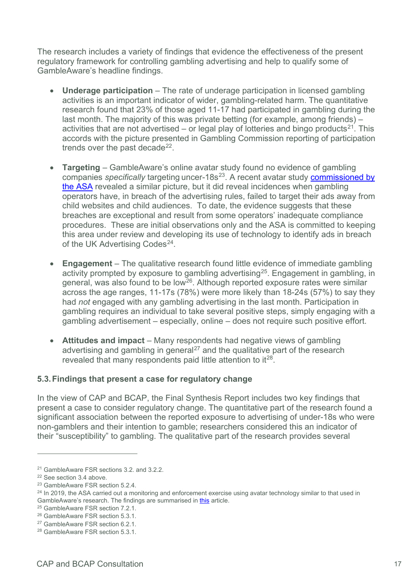The research includes a variety of findings that evidence the effectiveness of the present regulatory framework for controlling gambling advertising and help to qualify some of GambleAware's headline findings.

- **Underage participation** The rate of underage participation in licensed gambling activities is an important indicator of wider, gambling-related harm. The quantitative research found that 23% of those aged 11-17 had participated in gambling during the last month. The majority of this was private betting (for example, among friends) – activities that are not advertised – or legal play of lotteries and bingo products<sup>[21](#page-16-0)</sup>. This accords with the picture presented in Gambling Commission reporting of participation trends over the past decade $^{22}$ .
- **Targeting**  GambleAware's online avatar study found no evidence of gambling companies *specifically* targeting uncer-18s<sup>[23](#page-16-2)</sup>. A recent avatar study **commissioned by** [the ASA](https://www.asa.org.uk/news/harnessing-new-technology-gambling-ads-children.html) revealed a similar picture, but it did reveal incidences when gambling operators have, in breach of the advertising rules, failed to target their ads away from child websites and child audiences. To date, the evidence suggests that these breaches are exceptional and result from some operators' inadequate compliance procedures. These are initial observations only and the ASA is committed to keeping this area under review and developing its use of technology to identify ads in breach of the UK Advertising Codes<sup>[24](#page-16-3)</sup>.
- **Engagement** The qualitative research found little evidence of immediate gambling activity prompted by exposure to gambling advertising[25](#page-16-4). Engagement in gambling, in general, was also found to be low<sup>[26](#page-16-5)</sup>. Although reported exposure rates were similar across the age ranges, 11-17s (78%) were more likely than 18-24s (57%) to say they had *not* engaged with any gambling advertising in the last month. Participation in gambling requires an individual to take several positive steps, simply engaging with a gambling advertisement – especially, online – does not require such positive effort.
- **Attitudes and impact** Many respondents had negative views of gambling advertising and gambling in general<sup>[27](#page-16-6)</sup> and the qualitative part of the research revealed that many respondents paid little attention to  $it^{28}$  $it^{28}$  $it^{28}$ .

## **5.3.Findings that present a case for regulatory change**

In the view of CAP and BCAP, the Final Synthesis Report includes two key findings that present a case to consider regulatory change. The quantitative part of the research found a significant association between the reported exposure to advertising of under-18s who were non-gamblers and their intention to gamble; researchers considered this an indicator of their "susceptibility" to gambling. The qualitative part of the research provides several

<span id="page-16-0"></span><sup>21</sup> GambleAware FSR sections 3.2. and 3.2.2.

<span id="page-16-1"></span><sup>22</sup> See section 3.4 above.

<span id="page-16-2"></span><sup>23</sup> GambleAware FSR section 5.2.4.

<span id="page-16-3"></span> $^{24}$  In 2019, the ASA carried out a monitoring and enforcement exercise using avatar technology similar to that used in GambleAware's research. The findings are summarised in this article.<br><sup>25</sup> GambleAware FSR section 7.2.1.

<span id="page-16-4"></span>

<span id="page-16-5"></span><sup>26</sup> GambleAware FSR section 5.3.1.

<span id="page-16-6"></span><sup>27</sup> GambleAware FSR section 6.2.1.

<span id="page-16-7"></span><sup>28</sup> GambleAware FSR section 5.3.1.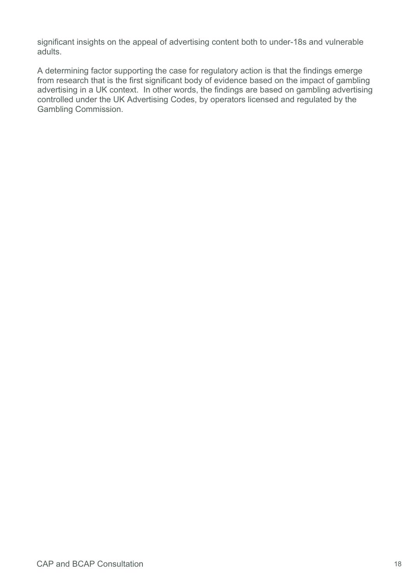significant insights on the appeal of advertising content both to under-18s and vulnerable adults.

A determining factor supporting the case for regulatory action is that the findings emerge from research that is the first significant body of evidence based on the impact of gambling advertising in a UK context. In other words, the findings are based on gambling advertising controlled under the UK Advertising Codes, by operators licensed and regulated by the Gambling Commission.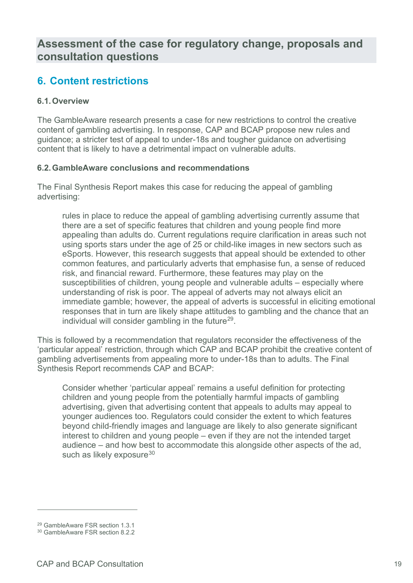# **Assessment of the case for regulatory change, proposals and consultation questions**

# <span id="page-18-0"></span>**6. Content restrictions**

## **6.1.Overview**

The GambleAware research presents a case for new restrictions to control the creative content of gambling advertising. In response, CAP and BCAP propose new rules and guidance; a stricter test of appeal to under-18s and tougher guidance on advertising content that is likely to have a detrimental impact on vulnerable adults.

## **6.2.GambleAware conclusions and recommendations**

The Final Synthesis Report makes this case for reducing the appeal of gambling advertising:

rules in place to reduce the appeal of gambling advertising currently assume that there are a set of specific features that children and young people find more appealing than adults do. Current regulations require clarification in areas such not using sports stars under the age of 25 or child-like images in new sectors such as eSports. However, this research suggests that appeal should be extended to other common features, and particularly adverts that emphasise fun, a sense of reduced risk, and financial reward. Furthermore, these features may play on the susceptibilities of children, young people and vulnerable adults – especially where understanding of risk is poor. The appeal of adverts may not always elicit an immediate gamble; however, the appeal of adverts is successful in eliciting emotional responses that in turn are likely shape attitudes to gambling and the chance that an individual will consider gambling in the future<sup>29</sup>.

This is followed by a recommendation that regulators reconsider the effectiveness of the 'particular appeal' restriction, through which CAP and BCAP prohibit the creative content of gambling advertisements from appealing more to under-18s than to adults. The Final Synthesis Report recommends CAP and BCAP:

Consider whether 'particular appeal' remains a useful definition for protecting children and young people from the potentially harmful impacts of gambling advertising, given that advertising content that appeals to adults may appeal to younger audiences too. Regulators could consider the extent to which features beyond child-friendly images and language are likely to also generate significant interest to children and young people – even if they are not the intended target audience – and how best to accommodate this alongside other aspects of the ad, such as likely exposure $30$ 

<span id="page-18-1"></span><sup>29</sup> GambleAware FSR section 1.3.1

<span id="page-18-2"></span><sup>30</sup> GambleAware FSR section 8.2.2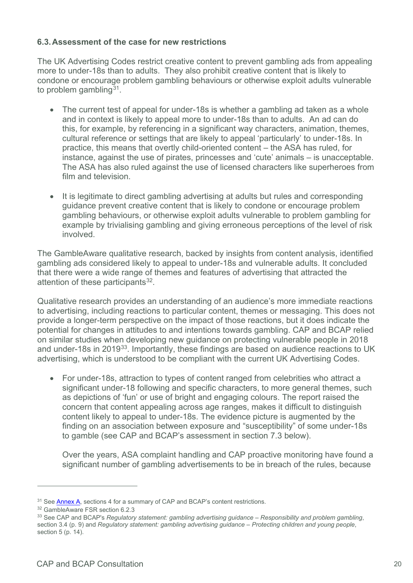#### **6.3.Assessment of the case for new restrictions**

The UK Advertising Codes restrict creative content to prevent gambling ads from appealing more to under-18s than to adults. They also prohibit creative content that is likely to condone or encourage problem gambling behaviours or otherwise exploit adults vulnerable to problem gambling  $31$ .

- The current test of appeal for under-18s is whether a gambling ad taken as a whole and in context is likely to appeal more to under-18s than to adults. An ad can do this, for example, by referencing in a significant way characters, animation, themes, cultural reference or settings that are likely to appeal 'particularly' to under-18s. In practice, this means that overtly child-oriented content – the ASA has ruled, for instance, against the use of pirates, princesses and 'cute' animals – is unacceptable. The ASA has also ruled against the use of licensed characters like superheroes from film and television.
- It is legitimate to direct gambling advertising at adults but rules and corresponding guidance prevent creative content that is likely to condone or encourage problem gambling behaviours, or otherwise exploit adults vulnerable to problem gambling for example by trivialising gambling and giving erroneous perceptions of the level of risk involved.

The GambleAware qualitative research, backed by insights from content analysis, identified gambling ads considered likely to appeal to under-18s and vulnerable adults. It concluded that there were a wide range of themes and features of advertising that attracted the attention of these participants<sup>[32](#page-19-1)</sup>.

Qualitative research provides an understanding of an audience's more immediate reactions to advertising, including reactions to particular content, themes or messaging. This does not provide a longer-term perspective on the impact of those reactions, but it does indicate the potential for changes in attitudes to and intentions towards gambling. CAP and BCAP relied on similar studies when developing new guidance on protecting vulnerable people in 2018 and under-18s in 2019<sup>[33](#page-19-2)</sup>. Importantly, these findings are based on audience reactions to UK advertising, which is understood to be compliant with the current UK Advertising Codes.

• For under-18s, attraction to types of content ranged from celebrities who attract a significant under-18 following and specific characters, to more general themes, such as depictions of 'fun' or use of bright and engaging colours. The report raised the concern that content appealing across age ranges, makes it difficult to distinguish content likely to appeal to under-18s. The evidence picture is augmented by the finding on an association between exposure and "susceptibility" of some under-18s to gamble (see CAP and BCAP's assessment in section 7.3 below).

Over the years, ASA complaint handling and CAP proactive monitoring have found a significant number of gambling advertisements to be in breach of the rules, because

<span id="page-19-0"></span> $31$  See  $\frac{\text{Annex A}}{\text{A}}$ , sections 4 for a summary of CAP and BCAP's content restrictions.<br> $32$  GambleAware FSR section 6.2.3

<span id="page-19-1"></span>

<span id="page-19-2"></span><sup>33</sup> See CAP and BCAP's *Regulatory statement: gambling advertising guidance – Responsibility and problem gambling*, section 3.4 (p. 9) and *Regulatory statement: gambling advertising guidance – Protecting children and young people*, section 5 (p. 14).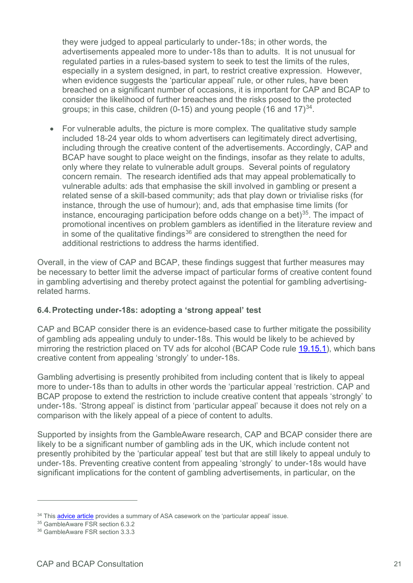they were judged to appeal particularly to under-18s; in other words, the advertisements appealed more to under-18s than to adults. It is not unusual for regulated parties in a rules-based system to seek to test the limits of the rules, especially in a system designed, in part, to restrict creative expression. However, when evidence suggests the 'particular appeal' rule, or other rules, have been breached on a significant number of occasions, it is important for CAP and BCAP to consider the likelihood of further breaches and the risks posed to the protected groups; in this case, children (0-15) and young people (16 and  $17$ )<sup>[34](#page-20-0)</sup>.

• For vulnerable adults, the picture is more complex. The qualitative study sample included 18-24 year olds to whom advertisers can legitimately direct advertising, including through the creative content of the advertisements. Accordingly, CAP and BCAP have sought to place weight on the findings, insofar as they relate to adults, only where they relate to vulnerable adult groups. Several points of regulatory concern remain. The research identified ads that may appeal problematically to vulnerable adults: ads that emphasise the skill involved in gambling or present a related sense of a skill-based community; ads that play down or trivialise risks (for instance, through the use of humour); and, ads that emphasise time limits (for instance, encouraging participation before odds change on a bet) $35$ . The impact of promotional incentives on problem gamblers as identified in the literature review and in some of the qualitative findings $36$  are considered to strengthen the need for additional restrictions to address the harms identified.

Overall, in the view of CAP and BCAP, these findings suggest that further measures may be necessary to better limit the adverse impact of particular forms of creative content found in gambling advertising and thereby protect against the potential for gambling advertisingrelated harms.

#### **6.4.Protecting under-18s: adopting a 'strong appeal' test**

CAP and BCAP consider there is an evidence-based case to further mitigate the possibility of gambling ads appealing unduly to under-18s. This would be likely to be achieved by mirroring the restriction placed on TV ads for alcohol (BCAP Code rule [19.15.1\)](https://www.google.com/url?sa=t&rct=j&q=&esrc=s&source=web&cd=1&cad=rja&uact=8&ved=2ahUKEwjv4ZW23ZnpAhU3QxUIHTCqAgMQFjAAegQIAhAB&url=https%3A%2F%2Fwww.asa.org.uk%2Ftype%2Fbroadcast%2Fcode_section%2F19.html&usg=AOvVaw10JS3UAis5slI98b_2m85h), which bans creative content from appealing 'strongly' to under-18s.

Gambling advertising is presently prohibited from including content that is likely to appeal more to under-18s than to adults in other words the 'particular appeal 'restriction. CAP and BCAP propose to extend the restriction to include creative content that appeals 'strongly' to under-18s. 'Strong appeal' is distinct from 'particular appeal' because it does not rely on a comparison with the likely appeal of a piece of content to adults.

Supported by insights from the GambleAware research, CAP and BCAP consider there are likely to be a significant number of gambling ads in the UK, which include content not presently prohibited by the 'particular appeal' test but that are still likely to appeal unduly to under-18s. Preventing creative content from appealing 'strongly' to under-18s would have significant implications for the content of gambling advertisements, in particular, on the

<span id="page-20-0"></span> $34$  This **advice article** provides a summary of ASA casework on the 'particular appeal' issue.<br><sup>35</sup> GambleAware FSR section 6.3.2

<span id="page-20-2"></span><span id="page-20-1"></span><sup>36</sup> GambleAware FSR section 3.3.3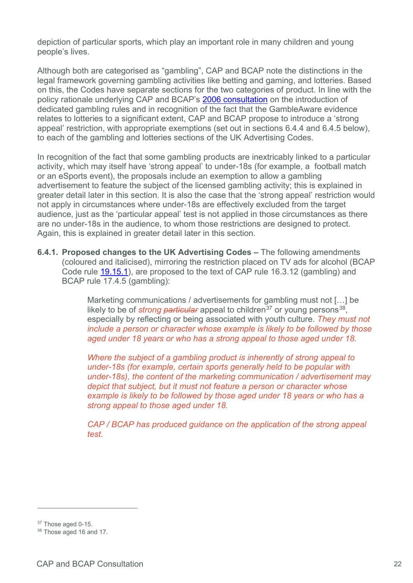depiction of particular sports, which play an important role in many children and young people's lives.

Although both are categorised as "gambling", CAP and BCAP note the distinctions in the legal framework governing gambling activities like betting and gaming, and lotteries. Based on this, the Codes have separate sections for the two categories of product. In line with the policy rationale underlying CAP and BCAP's [2006 consultation](https://www.asa.org.uk/resource/Gambling-rules-consultation.html) on the introduction of dedicated gambling rules and in recognition of the fact that the GambleAware evidence relates to lotteries to a significant extent, CAP and BCAP propose to introduce a 'strong appeal' restriction, with appropriate exemptions (set out in sections 6.4.4 and 6.4.5 below), to each of the gambling and lotteries sections of the UK Advertising Codes.

In recognition of the fact that some gambling products are inextricably linked to a particular activity, which may itself have 'strong appeal' to under-18s (for example, a football match or an eSports event), the proposals include an exemption to allow a gambling advertisement to feature the subject of the licensed gambling activity; this is explained in greater detail later in this section. It is also the case that the 'strong appeal' restriction would not apply in circumstances where under-18s are effectively excluded from the target audience, just as the 'particular appeal' test is not applied in those circumstances as there are no under-18s in the audience, to whom those restrictions are designed to protect. Again, this is explained in greater detail later in this section.

**6.4.1. Proposed changes to the UK Advertising Codes –** The following amendments (coloured and italicised), mirroring the restriction placed on TV ads for alcohol (BCAP Code rule [19.15.1\)](https://www.google.com/url?sa=t&rct=j&q=&esrc=s&source=web&cd=1&cad=rja&uact=8&ved=2ahUKEwjv4ZW23ZnpAhU3QxUIHTCqAgMQFjAAegQIAhAB&url=https%3A%2F%2Fwww.asa.org.uk%2Ftype%2Fbroadcast%2Fcode_section%2F19.html&usg=AOvVaw10JS3UAis5slI98b_2m85h), are proposed to the text of CAP rule 16.3.12 (gambling) and BCAP rule 17.4.5 (gambling):

> Marketing communications / advertisements for gambling must not […] be likely to be of *strong particular* appeal to children<sup>[37](#page-21-0)</sup> or young persons<sup>[38](#page-21-1)</sup>, especially by reflecting or being associated with youth culture. *They must not include a person or character whose example is likely to be followed by those aged under 18 years or who has a strong appeal to those aged under 18.*

> *Where the subject of a gambling product is inherently of strong appeal to under-18s (for example, certain sports generally held to be popular with under-18s), the content of the marketing communication / advertisement may depict that subject, but it must not feature a person or character whose example is likely to be followed by those aged under 18 years or who has a strong appeal to those aged under 18.*

*CAP / BCAP has produced guidance on the application of the strong appeal test.* 

<span id="page-21-0"></span><sup>&</sup>lt;sup>37</sup> Those aged 0-15.

<span id="page-21-1"></span><sup>38</sup> Those aged 16 and 17.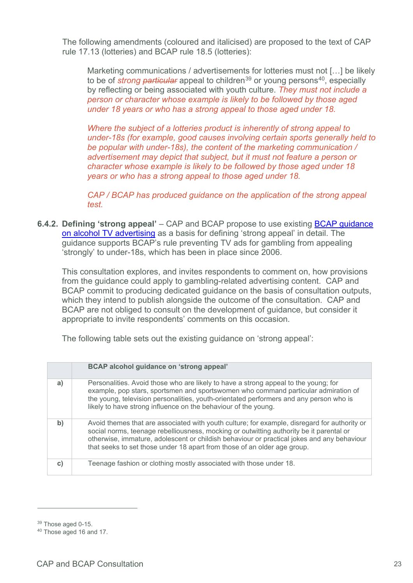The following amendments (coloured and italicised) are proposed to the text of CAP rule 17.13 (lotteries) and BCAP rule 18.5 (lotteries):

Marketing communications / advertisements for lotteries must not […] be likely to be of *strong particular* appeal to children<sup>[39](#page-22-0)</sup> or young persons<sup>[40](#page-22-1)</sup>, especially by reflecting or being associated with youth culture. *They must not include a person or character whose example is likely to be followed by those aged under 18 years or who has a strong appeal to those aged under 18.*

*Where the subject of a lotteries product is inherently of strong appeal to under-18s (for example, good causes involving certain sports generally held to be popular with under-18s), the content of the marketing communication / advertisement may depict that subject, but it must not feature a person or character whose example is likely to be followed by those aged under 18 years or who has a strong appeal to those aged under 18.* 

*CAP / BCAP has produced guidance on the application of the strong appeal test.* 

**6.4.2. Defining 'strong appeal'** – CAP and BCAP propose to use existing **BCAP guidance** [on alcohol TV advertising](https://www.asa.org.uk/resource/alcohol-tv-ads.html) as a basis for defining 'strong appeal' in detail. The guidance supports BCAP's rule preventing TV ads for gambling from appealing 'strongly' to under-18s, which has been in place since 2006.

This consultation explores, and invites respondents to comment on, how provisions from the guidance could apply to gambling-related advertising content. CAP and BCAP commit to producing dedicated guidance on the basis of consultation outputs, which they intend to publish alongside the outcome of the consultation. CAP and BCAP are not obliged to consult on the development of guidance, but consider it appropriate to invite respondents' comments on this occasion.

The following table sets out the existing guidance on 'strong appeal':

|              | BCAP alcohol guidance on 'strong appeal'                                                                                                                                                                                                                                                                                                                          |
|--------------|-------------------------------------------------------------------------------------------------------------------------------------------------------------------------------------------------------------------------------------------------------------------------------------------------------------------------------------------------------------------|
| a)           | Personalities. Avoid those who are likely to have a strong appeal to the young; for<br>example, pop stars, sportsmen and sportswomen who command particular admiration of<br>the young, television personalities, youth-orientated performers and any person who is<br>likely to have strong influence on the behaviour of the young.                             |
| b)           | Avoid themes that are associated with youth culture; for example, disregard for authority or<br>social norms, teenage rebelliousness, mocking or outwitting authority be it parental or<br>otherwise, immature, adolescent or childish behaviour or practical jokes and any behaviour<br>that seeks to set those under 18 apart from those of an older age group. |
| $\mathbf{C}$ | Teenage fashion or clothing mostly associated with those under 18.                                                                                                                                                                                                                                                                                                |

<span id="page-22-0"></span><sup>39</sup> Those aged 0-15.

<span id="page-22-1"></span><sup>40</sup> Those aged 16 and 17.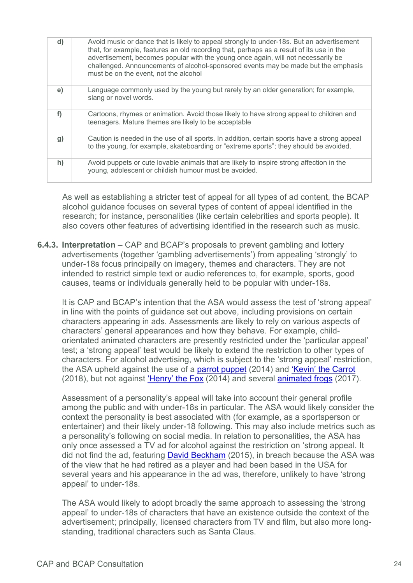| d) | Avoid music or dance that is likely to appeal strongly to under-18s. But an advertisement<br>that, for example, features an old recording that, perhaps as a result of its use in the<br>advertisement, becomes popular with the young once again, will not necessarily be<br>challenged. Announcements of alcohol-sponsored events may be made but the emphasis<br>must be on the event, not the alcohol |
|----|-----------------------------------------------------------------------------------------------------------------------------------------------------------------------------------------------------------------------------------------------------------------------------------------------------------------------------------------------------------------------------------------------------------|
| e) | Language commonly used by the young but rarely by an older generation; for example,<br>slang or novel words.                                                                                                                                                                                                                                                                                              |
| f) | Cartoons, rhymes or animation. Avoid those likely to have strong appeal to children and<br>teenagers. Mature themes are likely to be acceptable                                                                                                                                                                                                                                                           |
| g) | Caution is needed in the use of all sports. In addition, certain sports have a strong appeal<br>to the young, for example, skateboarding or "extreme sports"; they should be avoided.                                                                                                                                                                                                                     |
| h) | Avoid puppets or cute lovable animals that are likely to inspire strong affection in the<br>young, adolescent or childish humour must be avoided.                                                                                                                                                                                                                                                         |

As well as establishing a stricter test of appeal for all types of ad content, the BCAP alcohol guidance focuses on several types of content of appeal identified in the research; for instance, personalities (like certain celebrities and sports people). It also covers other features of advertising identified in the research such as music.

**6.4.3. Interpretation** – CAP and BCAP's proposals to prevent gambling and lottery advertisements (together 'gambling advertisements') from appealing 'strongly' to under-18s focus principally on imagery, themes and characters. They are not intended to restrict simple text or audio references to, for example, sports, good causes, teams or individuals generally held to be popular with under-18s.

It is CAP and BCAP's intention that the ASA would assess the test of 'strong appeal' in line with the points of guidance set out above, including provisions on certain characters appearing in ads. Assessments are likely to rely on various aspects of characters' general appearances and how they behave. For example, childorientated animated characters are presently restricted under the 'particular appeal' test; a 'strong appeal' test would be likely to extend the restriction to other types of characters. For alcohol advertising, which is subject to the 'strong appeal' restriction, the ASA upheld against the use of a **parrot puppet** (2014) and ['Kevin' the Carrot](https://www.asa.org.uk/rulings/aldi-stores-ltd-a17-405943.html) (2018), but not against ['Henry' the Fox](https://www.asa.org.uk/rulings/greene-king-brewing-and-retailing-ltd-a14-265983.html) (2014) and several [animated frogs](https://www.asa.org.uk/rulings/ab-inbev-uk-ltd-a17-387809.html) (2017).

Assessment of a personality's appeal will take into account their general profile among the public and with under-18s in particular. The ASA would likely consider the context the personality is best associated with (for example, as a sportsperson or entertainer) and their likely under-18 following. This may also include metrics such as a personality's following on social media. In relation to personalities, the ASA has only once assessed a TV ad for alcohol against the restriction on 'strong appeal. It did not find the ad, featuring [David Beckham](https://www.asa.org.uk/rulings/diageo-great-britain-ltd-a14-285061.html) (2015), in breach because the ASA was of the view that he had retired as a player and had been based in the USA for several years and his appearance in the ad was, therefore, unlikely to have 'strong appeal' to under-18s.

The ASA would likely to adopt broadly the same approach to assessing the 'strong appeal' to under-18s of characters that have an existence outside the context of the advertisement; principally, licensed characters from TV and film, but also more longstanding, traditional characters such as Santa Claus.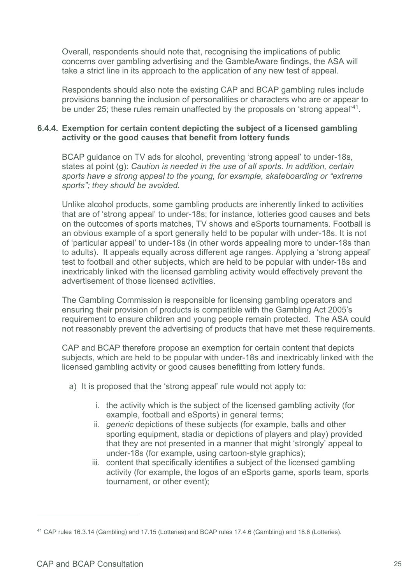Overall, respondents should note that, recognising the implications of public concerns over gambling advertising and the GambleAware findings, the ASA will take a strict line in its approach to the application of any new test of appeal.

Respondents should also note the existing CAP and BCAP gambling rules include provisions banning the inclusion of personalities or characters who are or appear to be under 25; these rules remain unaffected by the proposals on 'strong appeal'[41.](#page-24-0)

#### **6.4.4. Exemption for certain content depicting the subject of a licensed gambling activity or the good causes that benefit from lottery funds**

BCAP guidance on TV ads for alcohol, preventing 'strong appeal' to under-18s, states at point (g): *Caution is needed in the use of all sports. In addition, certain sports have a strong appeal to the young, for example, skateboarding or "extreme sports"; they should be avoided.*

Unlike alcohol products, some gambling products are inherently linked to activities that are of 'strong appeal' to under-18s; for instance, lotteries good causes and bets on the outcomes of sports matches, TV shows and eSports tournaments. Football is an obvious example of a sport generally held to be popular with under-18s. It is not of 'particular appeal' to under-18s (in other words appealing more to under-18s than to adults). It appeals equally across different age ranges. Applying a 'strong appeal' test to football and other subjects, which are held to be popular with under-18s and inextricably linked with the licensed gambling activity would effectively prevent the advertisement of those licensed activities.

The Gambling Commission is responsible for licensing gambling operators and ensuring their provision of products is compatible with the Gambling Act 2005's requirement to ensure children and young people remain protected. The ASA could not reasonably prevent the advertising of products that have met these requirements.

CAP and BCAP therefore propose an exemption for certain content that depicts subjects, which are held to be popular with under-18s and inextricably linked with the licensed gambling activity or good causes benefitting from lottery funds.

- a) It is proposed that the 'strong appeal' rule would not apply to:
	- i. the activity which is the subject of the licensed gambling activity (for example, football and eSports) in general terms;
	- ii. *generic* depictions of these subjects (for example, balls and other sporting equipment, stadia or depictions of players and play) provided that they are not presented in a manner that might 'strongly' appeal to under-18s (for example, using cartoon-style graphics);
	- iii. content that specifically identifies a subject of the licensed gambling activity (for example, the logos of an eSports game, sports team, sports tournament, or other event);

<span id="page-24-0"></span><sup>41</sup> CAP rules 16.3.14 (Gambling) and 17.15 (Lotteries) and BCAP rules 17.4.6 (Gambling) and 18.6 (Lotteries).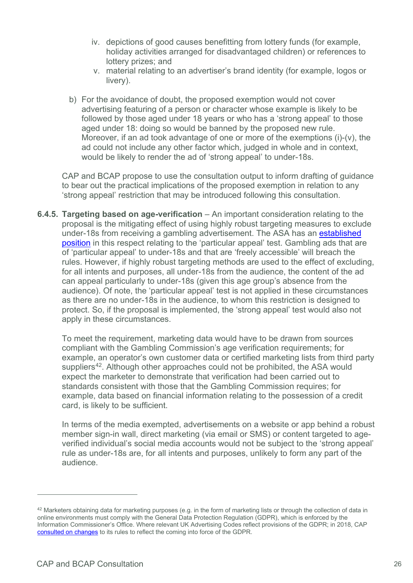- iv. depictions of good causes benefitting from lottery funds (for example, holiday activities arranged for disadvantaged children) or references to lottery prizes; and
- v. material relating to an advertiser's brand identity (for example, logos or livery).
- b) For the avoidance of doubt, the proposed exemption would not cover advertising featuring of a person or character whose example is likely to be followed by those aged under 18 years or who has a 'strong appeal' to those aged under 18: doing so would be banned by the proposed new rule. Moreover, if an ad took advantage of one or more of the exemptions (i)-(v), the ad could not include any other factor which, judged in whole and in context, would be likely to render the ad of 'strong appeal' to under-18s.

CAP and BCAP propose to use the consultation output to inform drafting of guidance to bear out the practical implications of the proposed exemption in relation to any 'strong appeal' restriction that may be introduced following this consultation.

**6.4.5. Targeting based on age-verification** – An important consideration relating to the proposal is the mitigating effect of using highly robust targeting measures to exclude under-18s from receiving a gambling advertisement. The ASA has an [established](https://www.asa.org.uk/news/particularly-appealing-guidance-for-gambling-operators-not-children.html)  [position](https://www.asa.org.uk/news/particularly-appealing-guidance-for-gambling-operators-not-children.html) in this respect relating to the 'particular appeal' test. Gambling ads that are of 'particular appeal' to under-18s and that are 'freely accessible' will breach the rules. However, if highly robust targeting methods are used to the effect of excluding, for all intents and purposes, all under-18s from the audience, the content of the ad can appeal particularly to under-18s (given this age group's absence from the audience). Of note, the 'particular appeal' test is not applied in these circumstances as there are no under-18s in the audience, to whom this restriction is designed to protect. So, if the proposal is implemented, the 'strong appeal' test would also not apply in these circumstances.

To meet the requirement, marketing data would have to be drawn from sources compliant with the Gambling Commission's age verification requirements; for example, an operator's own customer data or certified marketing lists from third party suppliers<sup>42</sup>. Although other approaches could not be prohibited, the ASA would expect the marketer to demonstrate that verification had been carried out to standards consistent with those that the Gambling Commission requires; for example, data based on financial information relating to the possession of a credit card, is likely to be sufficient.

In terms of the media exempted, advertisements on a website or app behind a robust member sign-in wall, direct marketing (via email or SMS) or content targeted to ageverified individual's social media accounts would not be subject to the 'strong appeal' rule as under-18s are, for all intents and purposes, unlikely to form any part of the audience.

<span id="page-25-0"></span> $42$  Marketers obtaining data for marketing purposes (e.g. in the form of marketing lists or through the collection of data in online environments must comply with the General Data Protection Regulation (GDPR), which is enforced by the Information Commissioner's Office. Where relevant UK Advertising Codes reflect provisions of the GDPR; in 2018, CAP [consulted on changes](https://www.asa.org.uk/news/new-rules-on-the-use-of-data-for-marketing.html) to its rules to reflect the coming into force of the GDPR.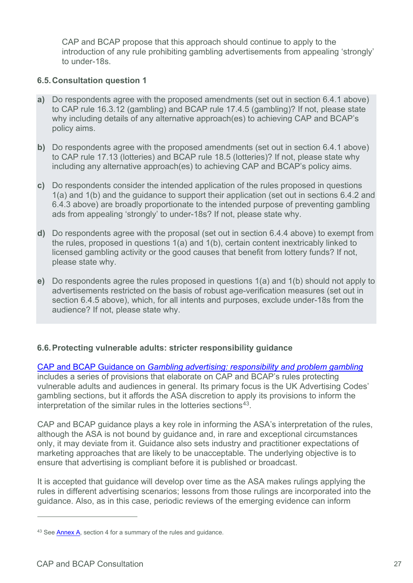CAP and BCAP propose that this approach should continue to apply to the introduction of any rule prohibiting gambling advertisements from appealing 'strongly' to under-18s.

#### **6.5.Consultation question 1**

- **a)** Do respondents agree with the proposed amendments (set out in section 6.4.1 above) to CAP rule 16.3.12 (gambling) and BCAP rule 17.4.5 (gambling)? If not, please state why including details of any alternative approach(es) to achieving CAP and BCAP's policy aims.
- **b)** Do respondents agree with the proposed amendments (set out in section 6.4.1 above) to CAP rule 17.13 (lotteries) and BCAP rule 18.5 (lotteries)? If not, please state why including any alternative approach(es) to achieving CAP and BCAP's policy aims.
- **c)** Do respondents consider the intended application of the rules proposed in questions 1(a) and 1(b) and the guidance to support their application (set out in sections 6.4.2 and 6.4.3 above) are broadly proportionate to the intended purpose of preventing gambling ads from appealing 'strongly' to under-18s? If not, please state why.
- **d)** Do respondents agree with the proposal (set out in section 6.4.4 above) to exempt from the rules, proposed in questions 1(a) and 1(b), certain content inextricably linked to licensed gambling activity or the good causes that benefit from lottery funds? If not, please state why.
- **e)** Do respondents agree the rules proposed in questions 1(a) and 1(b) should not apply to advertisements restricted on the basis of robust age-verification measures (set out in section 6.4.5 above), which, for all intents and purposes, exclude under-18s from the audience? If not, please state why.

## **6.6.Protecting vulnerable adults: stricter responsibility guidance**

CAP and BCAP Guidance on *[Gambling advertising: responsibility and problem gambling](https://www.asa.org.uk/uploads/assets/uploaded/bb5292af-96f3-4c28-94a031dbfdfde3d8.pdf)* includes a series of provisions that elaborate on CAP and BCAP's rules protecting vulnerable adults and audiences in general. Its primary focus is the UK Advertising Codes' gambling sections, but it affords the ASA discretion to apply its provisions to inform the interpretation of the similar rules in the lotteries sections<sup>[43](#page-26-0)</sup>.

CAP and BCAP guidance plays a key role in informing the ASA's interpretation of the rules, although the ASA is not bound by guidance and, in rare and exceptional circumstances only, it may deviate from it. Guidance also sets industry and practitioner expectations of marketing approaches that are likely to be unacceptable. The underlying objective is to ensure that advertising is compliant before it is published or broadcast.

It is accepted that guidance will develop over time as the ASA makes rulings applying the rules in different advertising scenarios; lessons from those rulings are incorporated into the guidance. Also, as in this case, periodic reviews of the emerging evidence can inform

<span id="page-26-0"></span><sup>43</sup> Se[e Annex A,](http://www.asa.org.uk/resource/gambling-appeal-consultation-annex.html) section 4 for a summary of the rules and guidance.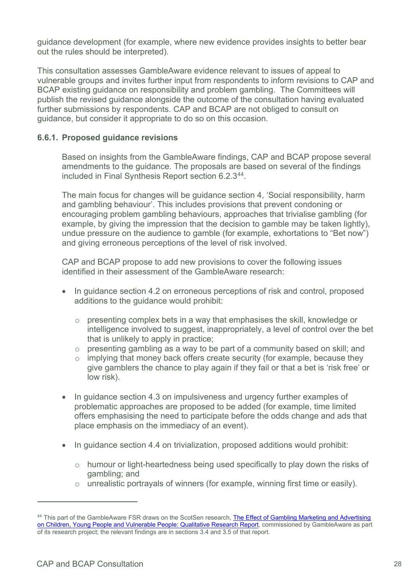guidance development (for example, where new evidence provides insights to better bear out the rules should be interpreted).

This consultation assesses GambleAware evidence relevant to issues of appeal to vulnerable groups and invites further input from respondents to inform revisions to CAP and BCAP existing guidance on responsibility and problem gambling. The Committees will publish the revised guidance alongside the outcome of the consultation having evaluated further submissions by respondents. CAP and BCAP are not obliged to consult on guidance, but consider it appropriate to do so on this occasion.

## **6.6.1. Proposed guidance revisions**

Based on insights from the GambleAware findings, CAP and BCAP propose several amendments to the guidance. The proposals are based on several of the findings included in Final Synthesis Report section 6.2.3[44](#page-27-0).

The main focus for changes will be guidance section 4, 'Social responsibility, harm and gambling behaviour'. This includes provisions that prevent condoning or encouraging problem gambling behaviours, approaches that trivialise gambling (for example, by giving the impression that the decision to gamble may be taken lightly), undue pressure on the audience to gamble (for example, exhortations to "Bet now") and giving erroneous perceptions of the level of risk involved.

CAP and BCAP propose to add new provisions to cover the following issues identified in their assessment of the GambleAware research:

- In quidance section 4.2 on erroneous perceptions of risk and control, proposed additions to the guidance would prohibit:
	- $\circ$  presenting complex bets in a way that emphasises the skill, knowledge or intelligence involved to suggest, inappropriately, a level of control over the bet that is unlikely to apply in practice;
	- o presenting gambling as a way to be part of a community based on skill; and
	- o implying that money back offers create security (for example, because they give gamblers the chance to play again if they fail or that a bet is 'risk free' or low risk).
- In guidance section 4.3 on impulsiveness and urgency further examples of problematic approaches are proposed to be added (for example, time limited offers emphasising the need to participate before the odds change and ads that place emphasis on the immediacy of an event).
- In quidance section 4.4 on trivialization, proposed additions would prohibit:
	- o humour or light-heartedness being used specifically to play down the risks of gambling; and
	- o unrealistic portrayals of winners (for example, winning first time or easily).

<span id="page-27-0"></span><sup>44</sup> This part of the GambleAware FSR draws on the ScotSen research, The Effect of Gambling Marketing and Advertising on Children, Young People and Vulnerable People: Qualitative Research Report, commissioned by GambleAware as part of its research project; the relevant findings are in sections 3.4 and 3.5 of that report.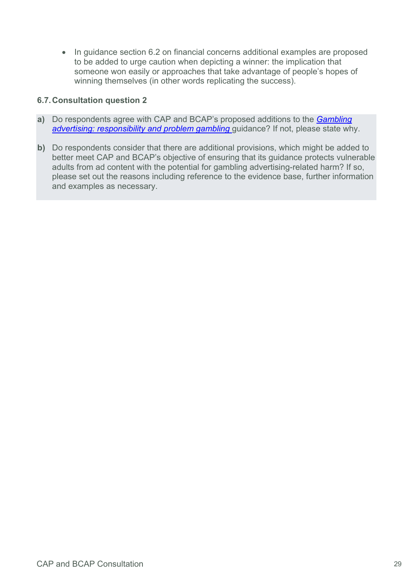• In quidance section 6.2 on financial concerns additional examples are proposed to be added to urge caution when depicting a winner: the implication that someone won easily or approaches that take advantage of people's hopes of winning themselves (in other words replicating the success).

#### **6.7.Consultation question 2**

- **a)** Do respondents agree with CAP and BCAP's proposed additions to the *[Gambling](https://www.asa.org.uk/uploads/assets/uploaded/9847cafa-b629-48ed-99c50a47c2cc98fc.pdf)  [advertising: responsibility and problem gambling](https://www.asa.org.uk/uploads/assets/uploaded/9847cafa-b629-48ed-99c50a47c2cc98fc.pdf)* guidance? If not, please state why.
- **b)** Do respondents consider that there are additional provisions, which might be added to better meet CAP and BCAP's objective of ensuring that its guidance protects vulnerable adults from ad content with the potential for gambling advertising-related harm? If so, please set out the reasons including reference to the evidence base, further information and examples as necessary.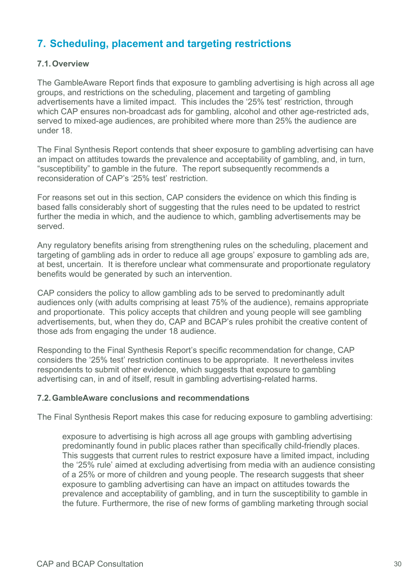# <span id="page-29-0"></span>**7. Scheduling, placement and targeting restrictions**

#### **7.1.Overview**

The GambleAware Report finds that exposure to gambling advertising is high across all age groups, and restrictions on the scheduling, placement and targeting of gambling advertisements have a limited impact. This includes the '25% test' restriction, through which CAP ensures non-broadcast ads for gambling, alcohol and other age-restricted ads, served to mixed-age audiences, are prohibited where more than 25% the audience are under 18.

The Final Synthesis Report contends that sheer exposure to gambling advertising can have an impact on attitudes towards the prevalence and acceptability of gambling, and, in turn, "susceptibility" to gamble in the future. The report subsequently recommends a reconsideration of CAP's '25% test' restriction.

For reasons set out in this section, CAP considers the evidence on which this finding is based falls considerably short of suggesting that the rules need to be updated to restrict further the media in which, and the audience to which, gambling advertisements may be served.

Any regulatory benefits arising from strengthening rules on the scheduling, placement and targeting of gambling ads in order to reduce all age groups' exposure to gambling ads are, at best, uncertain. It is therefore unclear what commensurate and proportionate regulatory benefits would be generated by such an intervention.

CAP considers the policy to allow gambling ads to be served to predominantly adult audiences only (with adults comprising at least 75% of the audience), remains appropriate and proportionate. This policy accepts that children and young people will see gambling advertisements, but, when they do, CAP and BCAP's rules prohibit the creative content of those ads from engaging the under 18 audience.

Responding to the Final Synthesis Report's specific recommendation for change, CAP considers the '25% test' restriction continues to be appropriate. It nevertheless invites respondents to submit other evidence, which suggests that exposure to gambling advertising can, in and of itself, result in gambling advertising-related harms.

#### **7.2.GambleAware conclusions and recommendations**

The Final Synthesis Report makes this case for reducing exposure to gambling advertising:

exposure to advertising is high across all age groups with gambling advertising predominantly found in public places rather than specifically child-friendly places. This suggests that current rules to restrict exposure have a limited impact, including the '25% rule' aimed at excluding advertising from media with an audience consisting of a 25% or more of children and young people. The research suggests that sheer exposure to gambling advertising can have an impact on attitudes towards the prevalence and acceptability of gambling, and in turn the susceptibility to gamble in the future. Furthermore, the rise of new forms of gambling marketing through social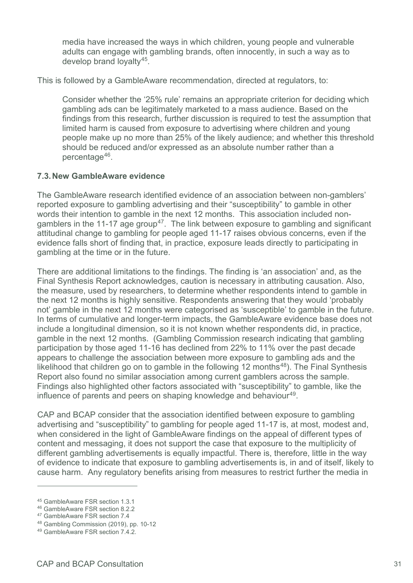media have increased the ways in which children, young people and vulnerable adults can engage with gambling brands, often innocently, in such a way as to develop brand loyalty[45.](#page-30-0)

This is followed by a GambleAware recommendation, directed at regulators, to:

Consider whether the '25% rule' remains an appropriate criterion for deciding which gambling ads can be legitimately marketed to a mass audience. Based on the findings from this research, further discussion is required to test the assumption that limited harm is caused from exposure to advertising where children and young people make up no more than 25% of the likely audience; and whether this threshold should be reduced and/or expressed as an absolute number rather than a percentage[46](#page-30-1).

#### **7.3.New GambleAware evidence**

The GambleAware research identified evidence of an association between non-gamblers' reported exposure to gambling advertising and their "susceptibility" to gamble in other words their intention to gamble in the next 12 months. This association included non-gamblers in the 11-17 age group<sup>[47](#page-30-2)</sup>. The link between exposure to gambling and significant attitudinal change to gambling for people aged 11-17 raises obvious concerns, even if the evidence falls short of finding that, in practice, exposure leads directly to participating in gambling at the time or in the future.

There are additional limitations to the findings. The finding is 'an association' and, as the Final Synthesis Report acknowledges, caution is necessary in attributing causation. Also, the measure, used by researchers, to determine whether respondents intend to gamble in the next 12 months is highly sensitive. Respondents answering that they would 'probably not' gamble in the next 12 months were categorised as 'susceptible' to gamble in the future. In terms of cumulative and longer-term impacts, the GambleAware evidence base does not include a longitudinal dimension, so it is not known whether respondents did, in practice, gamble in the next 12 months. (Gambling Commission research indicating that gambling participation by those aged 11-16 has declined from 22% to 11% over the past decade appears to challenge the association between more exposure to gambling ads and the likelihood that children go on to gamble in the following 12 months<sup>[48](#page-30-3)</sup>). The Final Synthesis Report also found no similar association among current gamblers across the sample. Findings also highlighted other factors associated with "susceptibility" to gamble, like the influence of parents and peers on shaping knowledge and behaviour<sup>49</sup>.

CAP and BCAP consider that the association identified between exposure to gambling advertising and "susceptibility" to gambling for people aged 11-17 is, at most, modest and, when considered in the light of GambleAware findings on the appeal of different types of content and messaging, it does not support the case that exposure to the multiplicity of different gambling advertisements is equally impactful. There is, therefore, little in the way of evidence to indicate that exposure to gambling advertisements is, in and of itself, likely to cause harm. Any regulatory benefits arising from measures to restrict further the media in

<span id="page-30-0"></span><sup>45</sup> GambleAware FSR section 1.3.1

<span id="page-30-1"></span><sup>46</sup> GambleAware FSR section 8.2.2

<span id="page-30-2"></span><sup>47</sup> GambleAware FSR section 7.4

<span id="page-30-3"></span><sup>48</sup> Gambling Commission (2019), pp. 10-12

<span id="page-30-4"></span><sup>49</sup> GambleAware FSR section 7.4.2.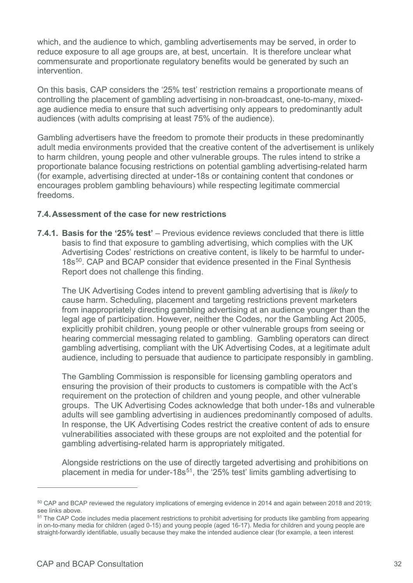which, and the audience to which, gambling advertisements may be served, in order to reduce exposure to all age groups are, at best, uncertain. It is therefore unclear what commensurate and proportionate regulatory benefits would be generated by such an intervention.

On this basis, CAP considers the '25% test' restriction remains a proportionate means of controlling the placement of gambling advertising in non-broadcast, one-to-many, mixedage audience media to ensure that such advertising only appears to predominantly adult audiences (with adults comprising at least 75% of the audience).

Gambling advertisers have the freedom to promote their products in these predominantly adult media environments provided that the creative content of the advertisement is unlikely to harm children, young people and other vulnerable groups. The rules intend to strike a proportionate balance focusing restrictions on potential gambling advertising-related harm (for example, advertising directed at under-18s or containing content that condones or encourages problem gambling behaviours) while respecting legitimate commercial freedoms.

#### **7.4.Assessment of the case for new restrictions**

**7.4.1. Basis for the '25% test'** – Previous evidence reviews concluded that there is little basis to find that exposure to gambling advertising, which complies with the UK Advertising Codes' restrictions on creative content, is likely to be harmful to under-18s<sup>[50](#page-31-0)</sup>. CAP and BCAP consider that evidence presented in the Final Synthesis Report does not challenge this finding.

The UK Advertising Codes intend to prevent gambling advertising that is *likely* to cause harm. Scheduling, placement and targeting restrictions prevent marketers from inappropriately directing gambling advertising at an audience younger than the legal age of participation. However, neither the Codes, nor the Gambling Act 2005, explicitly prohibit children, young people or other vulnerable groups from seeing or hearing commercial messaging related to gambling. Gambling operators can direct gambling advertising, compliant with the UK Advertising Codes, at a legitimate adult audience, including to persuade that audience to participate responsibly in gambling.

The Gambling Commission is responsible for licensing gambling operators and ensuring the provision of their products to customers is compatible with the Act's requirement on the protection of children and young people, and other vulnerable groups. The UK Advertising Codes acknowledge that both under-18s and vulnerable adults will see gambling advertising in audiences predominantly composed of adults. In response, the UK Advertising Codes restrict the creative content of ads to ensure vulnerabilities associated with these groups are not exploited and the potential for gambling advertising-related harm is appropriately mitigated.

Alongside restrictions on the use of directly targeted advertising and prohibitions on placement in media for under-18 $s^{51}$  $s^{51}$  $s^{51}$ , the '25% test' limits gambling advertising to

<span id="page-31-0"></span><sup>50</sup> CAP and BCAP reviewed the regulatory implications of emerging evidence in 2014 and again between 2018 and 2019; see links above.<br><sup>51</sup> The CAP Code includes media placement restrictions to prohibit advertising for products like gambling from appearing

<span id="page-31-1"></span>in on-to-many media for children (aged 0-15) and young people (aged 16-17). Media for children and young people are straight-forwardly identifiable, usually because they make the intended audience clear (for example, a teen interest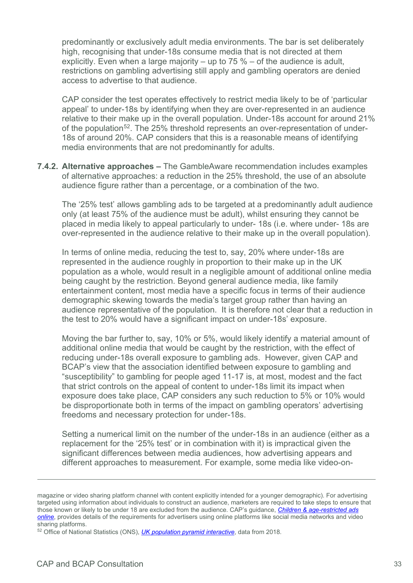predominantly or exclusively adult media environments. The bar is set deliberately high, recognising that under-18s consume media that is not directed at them explicitly. Even when a large majority – up to 75 % – of the audience is adult, restrictions on gambling advertising still apply and gambling operators are denied access to advertise to that audience.

CAP consider the test operates effectively to restrict media likely to be of 'particular appeal' to under-18s by identifying when they are over-represented in an audience relative to their make up in the overall population. Under-18s account for around 21% of the population<sup>[52](#page-32-0)</sup>. The 25% threshold represents an over-representation of under-18s of around 20%. CAP considers that this is a reasonable means of identifying media environments that are not predominantly for adults.

**7.4.2. Alternative approaches –** The GambleAware recommendation includes examples of alternative approaches: a reduction in the 25% threshold, the use of an absolute audience figure rather than a percentage, or a combination of the two.

The '25% test' allows gambling ads to be targeted at a predominantly adult audience only (at least 75% of the audience must be adult), whilst ensuring they cannot be placed in media likely to appeal particularly to under- 18s (i.e. where under- 18s are over-represented in the audience relative to their make up in the overall population).

In terms of online media, reducing the test to, say, 20% where under-18s are represented in the audience roughly in proportion to their make up in the UK population as a whole, would result in a negligible amount of additional online media being caught by the restriction. Beyond general audience media, like family entertainment content, most media have a specific focus in terms of their audience demographic skewing towards the media's target group rather than having an audience representative of the population. It is therefore not clear that a reduction in the test to 20% would have a significant impact on under-18s' exposure.

Moving the bar further to, say, 10% or 5%, would likely identify a material amount of additional online media that would be caught by the restriction, with the effect of reducing under-18s overall exposure to gambling ads. However, given CAP and BCAP's view that the association identified between exposure to gambling and "susceptibility" to gambling for people aged 11-17 is, at most, modest and the fact that strict controls on the appeal of content to under-18s limit its impact when exposure does take place, CAP considers any such reduction to 5% or 10% would be disproportionate both in terms of the impact on gambling operators' advertising freedoms and necessary protection for under-18s.

Setting a numerical limit on the number of the under-18s in an audience (either as a replacement for the '25% test' or in combination with it) is impractical given the significant differences between media audiences, how advertising appears and different approaches to measurement. For example, some media like video-on-

magazine or video sharing platform channel with content explicitly intended for a younger demographic). For advertising targeted using information about individuals to construct an audience, marketers are required to take steps to ensure that those known or likely to be under 18 are excluded from the audience. CAP's guidance, *[Children & age-restricted ads](https://www.asa.org.uk/asset/F0AB1553-1212-4106-8C6E6C0047FEBEBA/)  [online](https://www.asa.org.uk/asset/F0AB1553-1212-4106-8C6E6C0047FEBEBA/)*, provides details of the requirements for advertisers using online platforms like social media networks and video sharing platforms.

<span id="page-32-0"></span><sup>52</sup> Office of National Statistics (ONS), *[UK population pyramid interactive](https://www.ons.gov.uk/peoplepopulationandcommunity/populationandmigration/populationestimates/articles/ukpopulationpyramidinteractive/2020-01-08)*, data from 2018.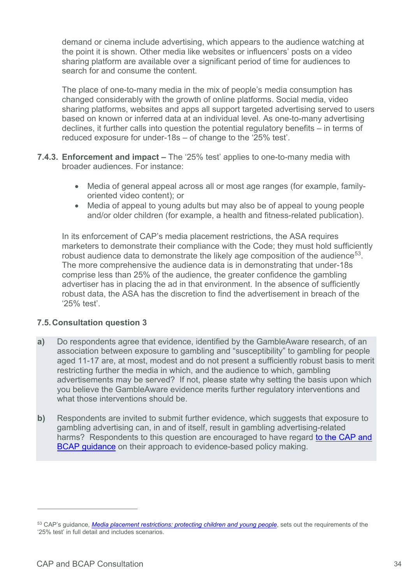demand or cinema include advertising, which appears to the audience watching at the point it is shown. Other media like websites or influencers' posts on a video sharing platform are available over a significant period of time for audiences to search for and consume the content.

The place of one-to-many media in the mix of people's media consumption has changed considerably with the growth of online platforms. Social media, video sharing platforms, websites and apps all support targeted advertising served to users based on known or inferred data at an individual level. As one-to-many advertising declines, it further calls into question the potential regulatory benefits – in terms of reduced exposure for under-18s – of change to the '25% test'.

- **7.4.3. Enforcement and impact** The '25% test' applies to one-to-many media with broader audiences. For instance:
	- Media of general appeal across all or most age ranges (for example, familyoriented video content); or
	- Media of appeal to young adults but may also be of appeal to young people and/or older children (for example, a health and fitness-related publication).

In its enforcement of CAP's media placement restrictions, the ASA requires marketers to demonstrate their compliance with the Code; they must hold sufficiently robust audience data to demonstrate the likely age composition of the audience<sup>[53](#page-33-0)</sup>. The more comprehensive the audience data is in demonstrating that under-18s comprise less than 25% of the audience, the greater confidence the gambling advertiser has in placing the ad in that environment. In the absence of sufficiently robust data, the ASA has the discretion to find the advertisement in breach of the '25% test'.

## **7.5.Consultation question 3**

- **a)** Do respondents agree that evidence, identified by the GambleAware research, of an association between exposure to gambling and "susceptibility" to gambling for people aged 11-17 are, at most, modest and do not present a sufficiently robust basis to merit restricting further the media in which, and the audience to which, gambling advertisements may be served? If not, please state why setting the basis upon which you believe the GambleAware evidence merits further regulatory interventions and what those interventions should be.
- **b)** Respondents are invited to submit further evidence, which suggests that exposure to gambling advertising can, in and of itself, result in gambling advertising-related harms? Respondents to this question are encouraged to have regard to the CAP and [BCAP guidance](https://www.asa.org.uk/resource/evidence-based-policy-making.html) on their approach to evidence-based policy making.

<span id="page-33-0"></span><sup>53</sup> CAP's guidance, *[Media placement restrictions: protecting children and young people](https://www.asa.org.uk/asset/2DED3F6A-9932-4369-AFE72131059E6B8D.D31EF8F7-1CD4-45D4-A547C3418DEE3569/)*, sets out the requirements of the '25% test' in full detail and includes scenarios.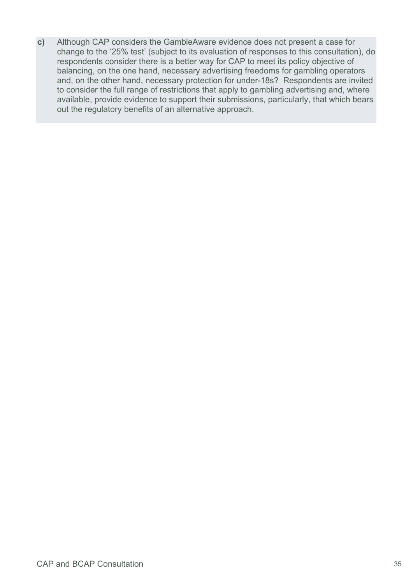**c)** Although CAP considers the GambleAware evidence does not present a case for change to the '25% test' (subject to its evaluation of responses to this consultation), do respondents consider there is a better way for CAP to meet its policy objective of balancing, on the one hand, necessary advertising freedoms for gambling operators and, on the other hand, necessary protection for under-18s? Respondents are invited to consider the full range of restrictions that apply to gambling advertising and, where available, provide evidence to support their submissions, particularly, that which bears out the regulatory benefits of an alternative approach.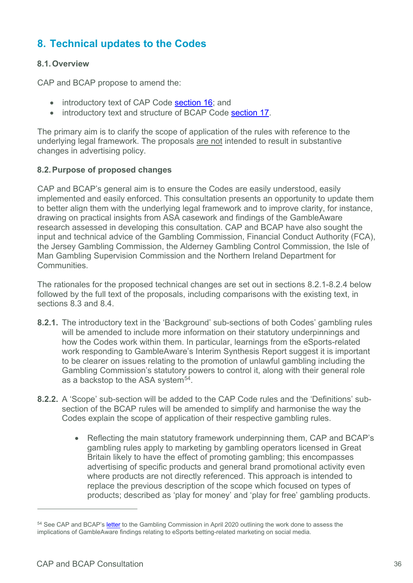# <span id="page-35-0"></span>**8. Technical updates to the Codes**

## **8.1.Overview**

CAP and BCAP propose to amend the:

- introductory text of CAP Code [section 16;](https://www.asa.org.uk/type/non_broadcast/code_section/16.html) and
- introductory text and structure of BCAP Code [section 17.](https://www.asa.org.uk/type/broadcast/code_section/17.html)

The primary aim is to clarify the scope of application of the rules with reference to the underlying legal framework. The proposals are not intended to result in substantive changes in advertising policy.

## **8.2.Purpose of proposed changes**

CAP and BCAP's general aim is to ensure the Codes are easily understood, easily implemented and easily enforced. This consultation presents an opportunity to update them to better align them with the underlying legal framework and to improve clarity, for instance, drawing on practical insights from ASA casework and findings of the GambleAware research assessed in developing this consultation. CAP and BCAP have also sought the input and technical advice of the Gambling Commission, Financial Conduct Authority (FCA), the Jersey Gambling Commission, the Alderney Gambling Control Commission, the Isle of Man Gambling Supervision Commission and the Northern Ireland Department for **Communities** 

The rationales for the proposed technical changes are set out in sections 8.2.1-8.2.4 below followed by the full text of the proposals, including comparisons with the existing text, in sections 8.3 and 8.4.

- **8.2.1.** The introductory text in the 'Background' sub-sections of both Codes' gambling rules will be amended to include more information on their statutory underpinnings and how the Codes work within them. In particular, learnings from the eSports-related work responding to GambleAware's Interim Synthesis Report suggest it is important to be clearer on issues relating to the promotion of unlawful gambling including the Gambling Commission's statutory powers to control it, along with their general role as a backstop to the ASA system<sup>54</sup>.
- **8.2.2.** A 'Scope' sub-section will be added to the CAP Code rules and the 'Definitions' subsection of the BCAP rules will be amended to simplify and harmonise the way the Codes explain the scope of application of their respective gambling rules.
	- Reflecting the main statutory framework underpinning them, CAP and BCAP's gambling rules apply to marketing by gambling operators licensed in Great Britain likely to have the effect of promoting gambling; this encompasses advertising of specific products and general brand promotional activity even where products are not directly referenced. This approach is intended to replace the previous description of the scope which focused on types of products; described as 'play for money' and 'play for free' gambling products.

<span id="page-35-1"></span><sup>&</sup>lt;sup>54</sup> See CAP and BCAP'[s letter](https://www.asa.org.uk/uploads/assets/62485c76-8cc3-4101-b1ce09cb0197d140/CAPs-response-to-GambleAwares-research-on-social-marketing-for-eSports-gambling.pdf) to the Gambling Commission in April 2020 outlining the work done to assess the implications of GambleAware findings relating to eSports betting-related marketing on social media.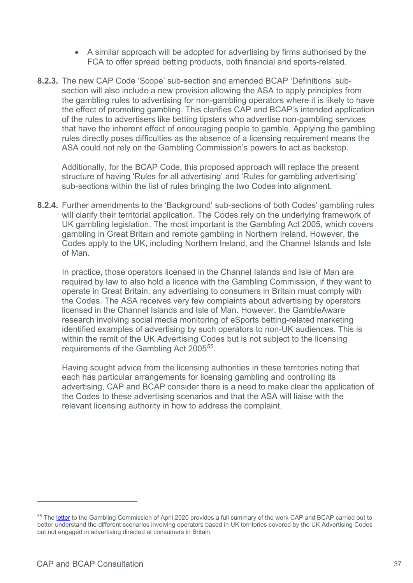- A similar approach will be adopted for advertising by firms authorised by the FCA to offer spread betting products, both financial and sports-related.
- **8.2.3.** The new CAP Code 'Scope' sub-section and amended BCAP 'Definitions' subsection will also include a new provision allowing the ASA to apply principles from the gambling rules to advertising for non-gambling operators where it is likely to have the effect of promoting gambling. This clarifies CAP and BCAP's intended application of the rules to advertisers like betting tipsters who advertise non-gambling services that have the inherent effect of encouraging people to gamble. Applying the gambling rules directly poses difficulties as the absence of a licensing requirement means the ASA could not rely on the Gambling Commission's powers to act as backstop.

Additionally, for the BCAP Code, this proposed approach will replace the present structure of having 'Rules for all advertising' and 'Rules for gambling advertising' sub-sections within the list of rules bringing the two Codes into alignment.

**8.2.4.** Further amendments to the 'Background' sub-sections of both Codes' gambling rules will clarify their territorial application. The Codes rely on the underlying framework of UK gambling legislation. The most important is the Gambling Act 2005, which covers gambling in Great Britain and remote gambling in Northern Ireland. However, the Codes apply to the UK, including Northern Ireland, and the Channel Islands and Isle of Man.

In practice, those operators licensed in the Channel Islands and Isle of Man are required by law to also hold a licence with the Gambling Commission, if they want to operate in Great Britain; any advertising to consumers in Britain must comply with the Codes. The ASA receives very few complaints about advertising by operators licensed in the Channel Islands and Isle of Man. However, the GambleAware research involving social media monitoring of eSports betting-related marketing identified examples of advertising by such operators to non-UK audiences. This is within the remit of the UK Advertising Codes but is not subject to the licensing requirements of the Gambling Act 2005<sup>55</sup>.

Having sought advice from the licensing authorities in these territories noting that each has particular arrangements for licensing gambling and controlling its advertising, CAP and BCAP consider there is a need to make clear the application of the Codes to these advertising scenarios and that the ASA will liaise with the relevant licensing authority in how to address the complaint.

<span id="page-36-0"></span><sup>&</sup>lt;sup>55</sup> The [letter](https://www.asa.org.uk/uploads/assets/62485c76-8cc3-4101-b1ce09cb0197d140/CAPs-response-to-GambleAwares-research-on-social-marketing-for-eSports-gambling.pdf) to the Gambling Commission of April 2020 provides a full summary of the work CAP and BCAP carried out to better understand the different scenarios involving operators based in UK territories covered by the UK Advertising Codes but not engaged in advertising directed at consumers in Britain.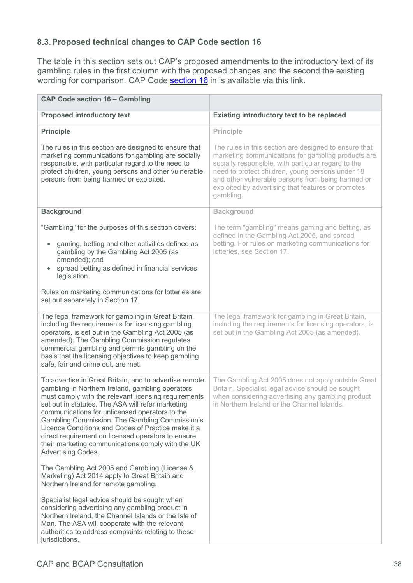# **8.3.Proposed technical changes to CAP Code section 16**

The table in this section sets out CAP's proposed amendments to the introductory text of its gambling rules in the first column with the proposed changes and the second the existing wording for comparison. CAP Code [section 16](https://www.asa.org.uk/type/non_broadcast/code_section/16.html) in is available via this link.

| <b>CAP Code section 16 - Gambling</b>                                                                                                                                                                                                                                                                                                                                                                                                                                                                                     |                                                                                                                                                                                                                                                                                                                                                |
|---------------------------------------------------------------------------------------------------------------------------------------------------------------------------------------------------------------------------------------------------------------------------------------------------------------------------------------------------------------------------------------------------------------------------------------------------------------------------------------------------------------------------|------------------------------------------------------------------------------------------------------------------------------------------------------------------------------------------------------------------------------------------------------------------------------------------------------------------------------------------------|
| <b>Proposed introductory text</b>                                                                                                                                                                                                                                                                                                                                                                                                                                                                                         | Existing introductory text to be replaced                                                                                                                                                                                                                                                                                                      |
| <b>Principle</b>                                                                                                                                                                                                                                                                                                                                                                                                                                                                                                          | <b>Principle</b>                                                                                                                                                                                                                                                                                                                               |
| The rules in this section are designed to ensure that<br>marketing communications for gambling are socially<br>responsible, with particular regard to the need to<br>protect children, young persons and other vulnerable<br>persons from being harmed or exploited.                                                                                                                                                                                                                                                      | The rules in this section are designed to ensure that<br>marketing communications for gambling products are<br>socially responsible, with particular regard to the<br>need to protect children, young persons under 18<br>and other vulnerable persons from being harmed or<br>exploited by advertising that features or promotes<br>gambling. |
| <b>Background</b>                                                                                                                                                                                                                                                                                                                                                                                                                                                                                                         | <b>Background</b>                                                                                                                                                                                                                                                                                                                              |
| "Gambling" for the purposes of this section covers:<br>gaming, betting and other activities defined as<br>$\bullet$<br>gambling by the Gambling Act 2005 (as<br>amended); and<br>spread betting as defined in financial services<br>legislation.                                                                                                                                                                                                                                                                          | The term "gambling" means gaming and betting, as<br>defined in the Gambling Act 2005, and spread<br>betting. For rules on marketing communications for<br>lotteries, see Section 17.                                                                                                                                                           |
| Rules on marketing communications for lotteries are<br>set out separately in Section 17.                                                                                                                                                                                                                                                                                                                                                                                                                                  |                                                                                                                                                                                                                                                                                                                                                |
| The legal framework for gambling in Great Britain,<br>including the requirements for licensing gambling<br>operators, is set out in the Gambling Act 2005 (as<br>amended). The Gambling Commission regulates<br>commercial gambling and permits gambling on the<br>basis that the licensing objectives to keep gambling<br>safe, fair and crime out, are met.                                                                                                                                                             | The legal framework for gambling in Great Britain,<br>including the requirements for licensing operators, is<br>set out in the Gambling Act 2005 (as amended).                                                                                                                                                                                 |
| To advertise in Great Britain, and to advertise remote<br>gambling in Northern Ireland, gambling operators<br>must comply with the relevant licensing requirements<br>set out in statutes. The ASA will refer marketing<br>communications for unlicensed operators to the<br>Gambling Commission. The Gambling Commission's<br>Licence Conditions and Codes of Practice make it a<br>direct requirement on licensed operators to ensure<br>their marketing communications comply with the UK<br><b>Advertising Codes.</b> | The Gambling Act 2005 does not apply outside Great<br>Britain. Specialist legal advice should be sought<br>when considering advertising any gambling product<br>in Northern Ireland or the Channel Islands.                                                                                                                                    |
| The Gambling Act 2005 and Gambling (License &<br>Marketing) Act 2014 apply to Great Britain and<br>Northern Ireland for remote gambling.                                                                                                                                                                                                                                                                                                                                                                                  |                                                                                                                                                                                                                                                                                                                                                |
| Specialist legal advice should be sought when<br>considering advertising any gambling product in<br>Northern Ireland, the Channel Islands or the Isle of<br>Man. The ASA will cooperate with the relevant<br>authorities to address complaints relating to these<br>jurisdictions.                                                                                                                                                                                                                                        |                                                                                                                                                                                                                                                                                                                                                |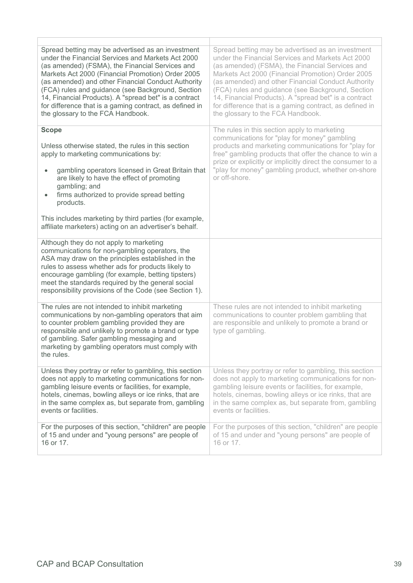| Spread betting may be advertised as an investment<br>under the Financial Services and Markets Act 2000<br>(as amended) (FSMA), the Financial Services and<br>Markets Act 2000 (Financial Promotion) Order 2005<br>(as amended) and other Financial Conduct Authority<br>(FCA) rules and guidance (see Background, Section<br>14, Financial Products). A "spread bet" is a contract<br>for difference that is a gaming contract, as defined in<br>the glossary to the FCA Handbook. | Spread betting may be advertised as an investment<br>under the Financial Services and Markets Act 2000<br>(as amended) (FSMA), the Financial Services and<br>Markets Act 2000 (Financial Promotion) Order 2005<br>(as amended) and other Financial Conduct Authority<br>(FCA) rules and guidance (see Background, Section<br>14, Financial Products). A "spread bet" is a contract<br>for difference that is a gaming contract, as defined in<br>the glossary to the FCA Handbook. |  |
|------------------------------------------------------------------------------------------------------------------------------------------------------------------------------------------------------------------------------------------------------------------------------------------------------------------------------------------------------------------------------------------------------------------------------------------------------------------------------------|------------------------------------------------------------------------------------------------------------------------------------------------------------------------------------------------------------------------------------------------------------------------------------------------------------------------------------------------------------------------------------------------------------------------------------------------------------------------------------|--|
| <b>Scope</b>                                                                                                                                                                                                                                                                                                                                                                                                                                                                       | The rules in this section apply to marketing                                                                                                                                                                                                                                                                                                                                                                                                                                       |  |
| Unless otherwise stated, the rules in this section<br>apply to marketing communications by:                                                                                                                                                                                                                                                                                                                                                                                        | communications for "play for money" gambling<br>products and marketing communications for "play for<br>free" gambling products that offer the chance to win a                                                                                                                                                                                                                                                                                                                      |  |
| gambling operators licensed in Great Britain that<br>$\bullet$<br>are likely to have the effect of promoting<br>gambling; and                                                                                                                                                                                                                                                                                                                                                      | prize or explicitly or implicitly direct the consumer to a<br>"play for money" gambling product, whether on-shore<br>or off-shore.                                                                                                                                                                                                                                                                                                                                                 |  |
| firms authorized to provide spread betting<br>products.                                                                                                                                                                                                                                                                                                                                                                                                                            |                                                                                                                                                                                                                                                                                                                                                                                                                                                                                    |  |
| This includes marketing by third parties (for example,<br>affiliate marketers) acting on an advertiser's behalf.                                                                                                                                                                                                                                                                                                                                                                   |                                                                                                                                                                                                                                                                                                                                                                                                                                                                                    |  |
| Although they do not apply to marketing<br>communications for non-gambling operators, the<br>ASA may draw on the principles established in the<br>rules to assess whether ads for products likely to<br>encourage gambling (for example, betting tipsters)<br>meet the standards required by the general social<br>responsibility provisions of the Code (see Section 1).                                                                                                          |                                                                                                                                                                                                                                                                                                                                                                                                                                                                                    |  |
| The rules are not intended to inhibit marketing<br>communications by non-gambling operators that aim<br>to counter problem gambling provided they are<br>responsible and unlikely to promote a brand or type<br>of gambling. Safer gambling messaging and<br>marketing by gambling operators must comply with<br>the rules.                                                                                                                                                        | These rules are not intended to inhibit marketing<br>communications to counter problem gambling that<br>are responsible and unlikely to promote a brand or<br>type of gambling.                                                                                                                                                                                                                                                                                                    |  |
| Unless they portray or refer to gambling, this section<br>does not apply to marketing communications for non-<br>gambling leisure events or facilities, for example,<br>hotels, cinemas, bowling alleys or ice rinks, that are<br>in the same complex as, but separate from, gambling<br>events or facilities.                                                                                                                                                                     | Unless they portray or refer to gambling, this section<br>does not apply to marketing communications for non-<br>gambling leisure events or facilities, for example,<br>hotels, cinemas, bowling alleys or ice rinks, that are<br>in the same complex as, but separate from, gambling<br>events or facilities.                                                                                                                                                                     |  |
| For the purposes of this section, "children" are people<br>of 15 and under and "young persons" are people of<br>16 or 17.                                                                                                                                                                                                                                                                                                                                                          | For the purposes of this section, "children" are people<br>of 15 and under and "young persons" are people of<br>16 or 17.                                                                                                                                                                                                                                                                                                                                                          |  |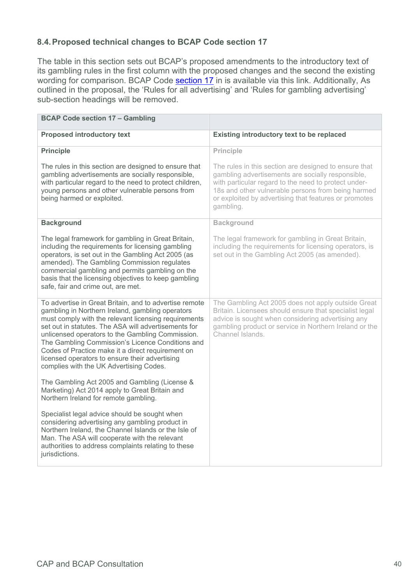# **8.4.Proposed technical changes to BCAP Code section 17**

The table in this section sets out BCAP's proposed amendments to the introductory text of its gambling rules in the first column with the proposed changes and the second the existing wording for comparison. BCAP Code [section 17](https://www.asa.org.uk/type/broadcast/code_section/17.html) in is available via this link. Additionally, As outlined in the proposal, the 'Rules for all advertising' and 'Rules for gambling advertising' sub-section headings will be removed.

| <b>BCAP Code section 17 - Gambling</b>                                                                                                                                                                                                                                                                                                                                                                                                                                               |                                                                                                                                                                                                                                                                                                |
|--------------------------------------------------------------------------------------------------------------------------------------------------------------------------------------------------------------------------------------------------------------------------------------------------------------------------------------------------------------------------------------------------------------------------------------------------------------------------------------|------------------------------------------------------------------------------------------------------------------------------------------------------------------------------------------------------------------------------------------------------------------------------------------------|
| <b>Proposed introductory text</b>                                                                                                                                                                                                                                                                                                                                                                                                                                                    | Existing introductory text to be replaced                                                                                                                                                                                                                                                      |
| <b>Principle</b>                                                                                                                                                                                                                                                                                                                                                                                                                                                                     | Principle                                                                                                                                                                                                                                                                                      |
| The rules in this section are designed to ensure that<br>gambling advertisements are socially responsible,<br>with particular regard to the need to protect children,<br>young persons and other vulnerable persons from<br>being harmed or exploited.                                                                                                                                                                                                                               | The rules in this section are designed to ensure that<br>gambling advertisements are socially responsible,<br>with particular regard to the need to protect under-<br>18s and other vulnerable persons from being harmed<br>or exploited by advertising that features or promotes<br>gambling. |
| <b>Background</b>                                                                                                                                                                                                                                                                                                                                                                                                                                                                    | <b>Background</b>                                                                                                                                                                                                                                                                              |
| The legal framework for gambling in Great Britain,<br>including the requirements for licensing gambling<br>operators, is set out in the Gambling Act 2005 (as<br>amended). The Gambling Commission regulates<br>commercial gambling and permits gambling on the<br>basis that the licensing objectives to keep gambling<br>safe, fair and crime out, are met.                                                                                                                        | The legal framework for gambling in Great Britain,<br>including the requirements for licensing operators, is<br>set out in the Gambling Act 2005 (as amended).                                                                                                                                 |
| To advertise in Great Britain, and to advertise remote<br>gambling in Northern Ireland, gambling operators<br>must comply with the relevant licensing requirements<br>set out in statutes. The ASA will advertisements for<br>unlicensed operators to the Gambling Commission.<br>The Gambling Commission's Licence Conditions and<br>Codes of Practice make it a direct requirement on<br>licensed operators to ensure their advertising<br>complies with the UK Advertising Codes. | The Gambling Act 2005 does not apply outside Great<br>Britain. Licensees should ensure that specialist legal<br>advice is sought when considering advertising any<br>gambling product or service in Northern Ireland or the<br>Channel Islands.                                                |
| The Gambling Act 2005 and Gambling (License &<br>Marketing) Act 2014 apply to Great Britain and<br>Northern Ireland for remote gambling.                                                                                                                                                                                                                                                                                                                                             |                                                                                                                                                                                                                                                                                                |
| Specialist legal advice should be sought when<br>considering advertising any gambling product in<br>Northern Ireland, the Channel Islands or the Isle of<br>Man. The ASA will cooperate with the relevant<br>authorities to address complaints relating to these<br>jurisdictions.                                                                                                                                                                                                   |                                                                                                                                                                                                                                                                                                |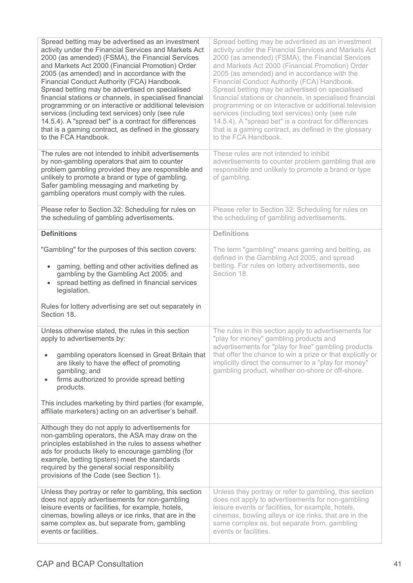| Spread betting may be advertised as an investment<br>activity under the Financial Services and Markets Act<br>2000 (as amended) (FSMA), the Financial Services<br>and Markets Act 2000 (Financial Promotion) Order<br>2005 (as amended) and in accordance with the<br>Financial Conduct Authority (FCA) Handbook.<br>Spread betting may be advertised on specialised<br>financial stations or channels, in specialised financial<br>programming or on interactive or additional television<br>services (including text services) only (see rule<br>14.5.4). A "spread bet" is a contract for differences<br>that is a gaming contract, as defined in the glossary<br>to the FCA Handbook. | Spread betting may be advertised as an investment<br>activity under the Financial Services and Markets Act<br>2000 (as amended) (FSMA), the Financial Services<br>and Markets Act 2000 (Financial Promotion) Order<br>2005 (as amended) and in accordance with the<br>Financial Conduct Authority (FCA) Handbook.<br>Spread betting may be advertised on specialised<br>financial stations or channels, in specialised financial<br>programming or on interactive or additional television<br>services (including text services) only (see rule<br>14.5.4). A "spread bet" is a contract for differences<br>that is a gaming contract, as defined in the glossary<br>to the FCA Handbook. |
|-------------------------------------------------------------------------------------------------------------------------------------------------------------------------------------------------------------------------------------------------------------------------------------------------------------------------------------------------------------------------------------------------------------------------------------------------------------------------------------------------------------------------------------------------------------------------------------------------------------------------------------------------------------------------------------------|-------------------------------------------------------------------------------------------------------------------------------------------------------------------------------------------------------------------------------------------------------------------------------------------------------------------------------------------------------------------------------------------------------------------------------------------------------------------------------------------------------------------------------------------------------------------------------------------------------------------------------------------------------------------------------------------|
| The rules are not intended to inhibit advertisements<br>by non-gambling operators that aim to counter<br>problem gambling provided they are responsible and<br>unlikely to promote a brand or type of gambling.<br>Safer gambling messaging and marketing by<br>gambling operators must comply with the rules.                                                                                                                                                                                                                                                                                                                                                                            | These rules are not intended to inhibit<br>advertisements to counter problem gambling that are<br>responsible and unlikely to promote a brand or type<br>of gambling.                                                                                                                                                                                                                                                                                                                                                                                                                                                                                                                     |
| Please refer to Section 32: Scheduling for rules on<br>the scheduling of gambling advertisements.                                                                                                                                                                                                                                                                                                                                                                                                                                                                                                                                                                                         | Please refer to Section 32: Scheduling for rules on<br>the scheduling of gambling advertisements.                                                                                                                                                                                                                                                                                                                                                                                                                                                                                                                                                                                         |
| <b>Definitions</b>                                                                                                                                                                                                                                                                                                                                                                                                                                                                                                                                                                                                                                                                        | <b>Definitions</b>                                                                                                                                                                                                                                                                                                                                                                                                                                                                                                                                                                                                                                                                        |
| "Gambling" for the purposes of this section covers:<br>gaming, betting and other activities defined as<br>$\bullet$<br>gambling by the Gambling Act 2005: and<br>spread betting as defined in financial services<br>$\bullet$<br>legislation.                                                                                                                                                                                                                                                                                                                                                                                                                                             | The term "gambling" means gaming and betting, as<br>defined in the Gambling Act 2005, and spread<br>betting. For rules on lottery advertisements, see<br>Section 18.                                                                                                                                                                                                                                                                                                                                                                                                                                                                                                                      |
| Rules for lottery advertising are set out separately in<br>Section 18.                                                                                                                                                                                                                                                                                                                                                                                                                                                                                                                                                                                                                    |                                                                                                                                                                                                                                                                                                                                                                                                                                                                                                                                                                                                                                                                                           |
| Unless otherwise stated, the rules in this section<br>apply to advertisements by:                                                                                                                                                                                                                                                                                                                                                                                                                                                                                                                                                                                                         | The rules in this section apply to advertisements for<br>"play for money" gambling products and<br>advertisements for "play for free" gambling products                                                                                                                                                                                                                                                                                                                                                                                                                                                                                                                                   |
| gambling operators licensed in Great Britain that<br>are likely to have the effect of promoting<br>gambling; and<br>firms authorized to provide spread betting<br>$\bullet$<br>products.                                                                                                                                                                                                                                                                                                                                                                                                                                                                                                  | that offer the chance to win a prize or that explicitly or<br>implicitly direct the consumer to a "play for money"<br>gambling product, whether on-shore or off-shore.                                                                                                                                                                                                                                                                                                                                                                                                                                                                                                                    |
| This includes marketing by third parties (for example,<br>affiliate marketers) acting on an advertiser's behalf.                                                                                                                                                                                                                                                                                                                                                                                                                                                                                                                                                                          |                                                                                                                                                                                                                                                                                                                                                                                                                                                                                                                                                                                                                                                                                           |
| Although they do not apply to advertisements for<br>non-gambling operators, the ASA may draw on the<br>principles established in the rules to assess whether<br>ads for products likely to encourage gambling (for<br>example, betting tipsters) meet the standards<br>required by the general social responsibility<br>provisions of the Code (see Section 1).                                                                                                                                                                                                                                                                                                                           |                                                                                                                                                                                                                                                                                                                                                                                                                                                                                                                                                                                                                                                                                           |
| Unless they portray or refer to gambling, this section<br>does not apply advertisements for non-gambling<br>leisure events or facilities, for example, hotels,<br>cinemas, bowling alleys or ice rinks, that are in the<br>same complex as, but separate from, gambling<br>events or facilities.                                                                                                                                                                                                                                                                                                                                                                                          | Unless they portray or refer to gambling, this section<br>does not apply to advertisements for non-gambling<br>leisure events or facilities, for example, hotels,<br>cinemas, bowling alleys or ice rinks, that are in the<br>same complex as, but separate from, gambling<br>events or facilities.                                                                                                                                                                                                                                                                                                                                                                                       |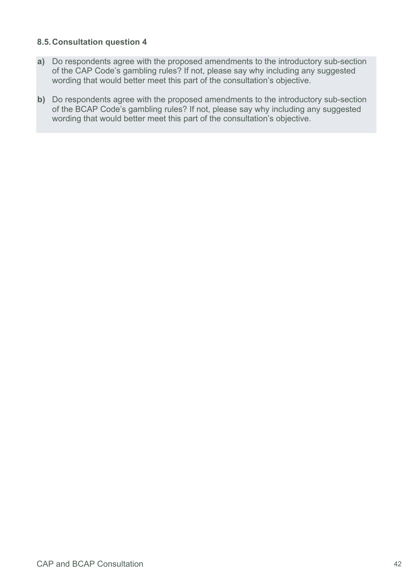#### **8.5.Consultation question 4**

- **a)** Do respondents agree with the proposed amendments to the introductory sub-section of the CAP Code's gambling rules? If not, please say why including any suggested wording that would better meet this part of the consultation's objective.
- **b)** Do respondents agree with the proposed amendments to the introductory sub-section of the BCAP Code's gambling rules? If not, please say why including any suggested wording that would better meet this part of the consultation's objective.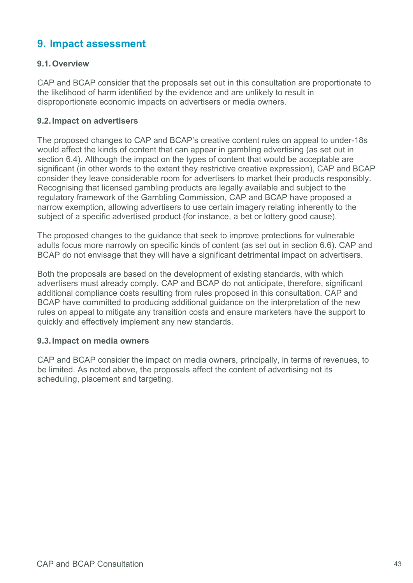# <span id="page-42-0"></span>**9. Impact assessment**

#### **9.1.Overview**

CAP and BCAP consider that the proposals set out in this consultation are proportionate to the likelihood of harm identified by the evidence and are unlikely to result in disproportionate economic impacts on advertisers or media owners.

#### **9.2.Impact on advertisers**

The proposed changes to CAP and BCAP's creative content rules on appeal to under-18s would affect the kinds of content that can appear in gambling advertising (as set out in section 6.4). Although the impact on the types of content that would be acceptable are significant (in other words to the extent they restrictive creative expression), CAP and BCAP consider they leave considerable room for advertisers to market their products responsibly. Recognising that licensed gambling products are legally available and subject to the regulatory framework of the Gambling Commission, CAP and BCAP have proposed a narrow exemption, allowing advertisers to use certain imagery relating inherently to the subject of a specific advertised product (for instance, a bet or lottery good cause).

The proposed changes to the guidance that seek to improve protections for vulnerable adults focus more narrowly on specific kinds of content (as set out in section 6.6). CAP and BCAP do not envisage that they will have a significant detrimental impact on advertisers.

Both the proposals are based on the development of existing standards, with which advertisers must already comply. CAP and BCAP do not anticipate, therefore, significant additional compliance costs resulting from rules proposed in this consultation. CAP and BCAP have committed to producing additional guidance on the interpretation of the new rules on appeal to mitigate any transition costs and ensure marketers have the support to quickly and effectively implement any new standards.

#### **9.3.Impact on media owners**

CAP and BCAP consider the impact on media owners, principally, in terms of revenues, to be limited. As noted above, the proposals affect the content of advertising not its scheduling, placement and targeting.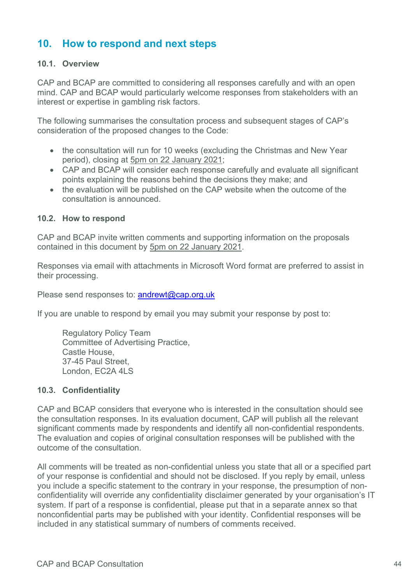# <span id="page-43-0"></span>**10. How to respond and next steps**

#### **10.1. Overview**

CAP and BCAP are committed to considering all responses carefully and with an open mind. CAP and BCAP would particularly welcome responses from stakeholders with an interest or expertise in gambling risk factors.

The following summarises the consultation process and subsequent stages of CAP's consideration of the proposed changes to the Code:

- the consultation will run for 10 weeks (excluding the Christmas and New Year period), closing at 5pm on 22 January 2021;
- CAP and BCAP will consider each response carefully and evaluate all significant points explaining the reasons behind the decisions they make; and
- the evaluation will be published on the CAP website when the outcome of the consultation is announced.

#### **10.2. How to respond**

CAP and BCAP invite written comments and supporting information on the proposals contained in this document by 5pm on 22 January 2021.

Responses via email with attachments in Microsoft Word format are preferred to assist in their processing.

Please send responses to: [andrewt@cap.org.uk](mailto:andrewt@cap.org.uk)

If you are unable to respond by email you may submit your response by post to:

Regulatory Policy Team Committee of Advertising Practice, Castle House, 37-45 Paul Street, London, EC2A 4LS

#### **10.3. Confidentiality**

CAP and BCAP considers that everyone who is interested in the consultation should see the consultation responses. In its evaluation document, CAP will publish all the relevant significant comments made by respondents and identify all non-confidential respondents. The evaluation and copies of original consultation responses will be published with the outcome of the consultation.

All comments will be treated as non-confidential unless you state that all or a specified part of your response is confidential and should not be disclosed. If you reply by email, unless you include a specific statement to the contrary in your response, the presumption of nonconfidentiality will override any confidentiality disclaimer generated by your organisation's IT system. If part of a response is confidential, please put that in a separate annex so that nonconfidential parts may be published with your identity. Confidential responses will be included in any statistical summary of numbers of comments received.